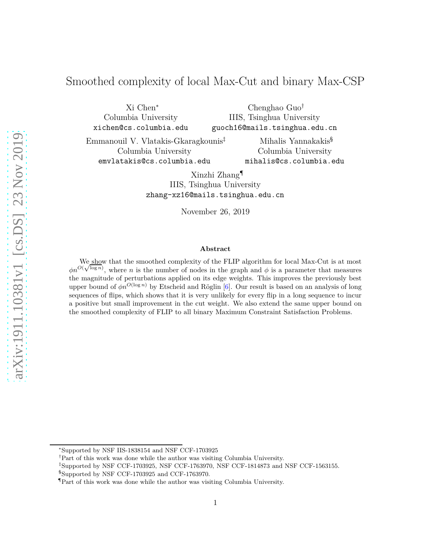# Smoothed complexity of local Max-Cut and binary Max-CSP

Xi Chen<sup>∗</sup> Columbia University xichen@cs.columbia.edu

Chenghao Guo† IIIS, Tsinghua University guoch16@mails.tsinghua.edu.cn

Emmanouil V. Vlatakis-Gkaragkounis‡ Columbia University emvlatakis@cs.columbia.edu

Mihalis Yannakakis§ Columbia University mihalis@cs.columbia.edu

Xinzhi Zhang¶ IIIS, Tsinghua University zhang-xz16@mails.tsinghua.edu.cn

November 26, 2019

#### **Abstract**

We show that the smoothed complexity of the FLIP algorithm for local Max-Cut is at most  $\phi n^{O(\sqrt{\log n})}$ , where *n* is the number of nodes in the graph and  $\phi$  is a parameter that measures the magnitude of perturbations applied on its edge weights. This improves the previously best upper bound of  $\phi n^{O(\log n)}$  by Etscheid and Röglin [\[6\]](#page-31-0). Our result is based on an analysis of long sequences of flips, which shows that it is very unlikely for every flip in a long sequence to incur a positive but small improvement in the cut weight. We also extend the same upper bound on the smoothed complexity of FLIP to all binary Maximum Constraint Satisfaction Problems.

<sup>∗</sup>Supported by NSF IIS-1838154 and NSF CCF-1703925

<sup>†</sup>Part of this work was done while the author was visiting Columbia University.

<sup>‡</sup>Supported by NSF CCF-1703925, NSF CCF-1763970, NSF CCF-1814873 and NSF CCF-1563155.

<sup>§</sup>Supported by NSF CCF-1703925 and CCF-1763970.

<sup>¶</sup>Part of this work was done while the author was visiting Columbia University.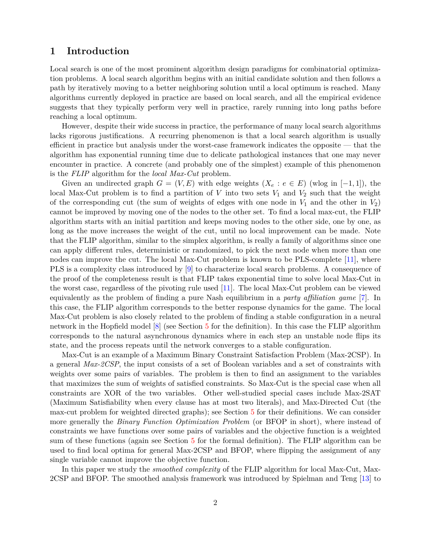# **1 Introduction**

Local search is one of the most prominent algorithm design paradigms for combinatorial optimization problems. A local search algorithm begins with an initial candidate solution and then follows a path by iteratively moving to a better neighboring solution until a local optimum is reached. Many algorithms currently deployed in practice are based on local search, and all the empirical evidence suggests that they typically perform very well in practice, rarely running into long paths before reaching a local optimum.

However, despite their wide success in practice, the performance of many local search algorithms lacks rigorous justifications. A recurring phenomenon is that a local search algorithm is usually efficient in practice but analysis under the worst-case framework indicates the opposite — that the algorithm has exponential running time due to delicate pathological instances that one may never encounter in practice. A concrete (and probably one of the simplest) example of this phenomenon is the *FLIP* algorithm for the *local Max-Cut* problem.

Given an undirected graph  $G = (V, E)$  with edge weights  $(X_e : e \in E)$  (wlog in  $[-1, 1]$ ), the local Max-Cut problem is to find a partition of  $V$  into two sets  $V_1$  and  $V_2$  such that the weight of the corresponding cut (the sum of weights of edges with one node in  $V_1$  and the other in  $V_2$ ) cannot be improved by moving one of the nodes to the other set. To find a local max-cut, the FLIP algorithm starts with an initial partition and keeps moving nodes to the other side, one by one, as long as the move increases the weight of the cut, until no local improvement can be made. Note that the FLIP algorithm, similar to the simplex algorithm, is really a family of algorithms since one can apply different rules, deterministic or randomized, to pick the next node when more than one nodes can improve the cut. The local Max-Cut problem is known to be PLS-complete [\[11\]](#page-32-0), where PLS is a complexity class introduced by [\[9\]](#page-32-1) to characterize local search problems. A consequence of the proof of the completeness result is that FLIP takes exponential time to solve local Max-Cut in the worst case, regardless of the pivoting rule used [\[11\]](#page-32-0). The local Max-Cut problem can be viewed equivalently as the problem of finding a pure Nash equilibrium in a *party affiliation game* [\[7\]](#page-32-2). In this case, the FLIP algorithm corresponds to the better response dynamics for the game. The local Max-Cut problem is also closely related to the problem of finding a stable configuration in a neural network in the Hopfield model [\[8\]](#page-32-3) (see Section [5](#page-25-0) for the definition). In this case the FLIP algorithm corresponds to the natural asynchronous dynamics where in each step an unstable node flips its state, and the process repeats until the network converges to a stable configuration.

Max-Cut is an example of a Maximum Binary Constraint Satisfaction Problem (Max-2CSP). In a general *Max-2CSP*, the input consists of a set of Boolean variables and a set of constraints with weights over some pairs of variables. The problem is then to find an assignment to the variables that maximizes the sum of weights of satisfied constraints. So Max-Cut is the special case when all constraints are XOR of the two variables. Other well-studied special cases include Max-2SAT (Maximum Satisfiability when every clause has at most two literals), and Max-Directed Cut (the max-cut problem for weighted directed graphs); see Section [5](#page-25-0) for their definitions. We can consider more generally the *Binary Function Optimization Problem* (or BFOP in short), where instead of constraints we have functions over some pairs of variables and the objective function is a weighted sum of these functions (again see Section [5](#page-25-0) for the formal definition). The FLIP algorithm can be used to find local optima for general Max-2CSP and BFOP, where flipping the assignment of any single variable cannot improve the objective function.

In this paper we study the *smoothed complexity* of the FLIP algorithm for local Max-Cut, Max-2CSP and BFOP. The smoothed analysis framework was introduced by Spielman and Teng [\[13\]](#page-32-4) to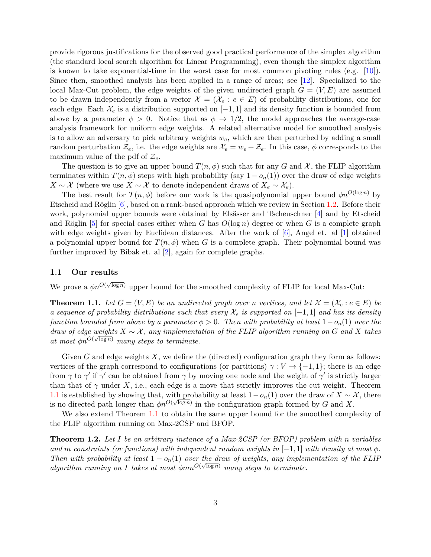provide rigorous justifications for the observed good practical performance of the simplex algorithm (the standard local search algorithm for Linear Programming), even though the simplex algorithm is known to take exponential-time in the worst case for most common pivoting rules (e.g.  $[10]$ ). Since then, smoothed analysis has been applied in a range of areas; see [\[12\]](#page-32-6). Specialized to the local Max-Cut problem, the edge weights of the given undirected graph  $G = (V, E)$  are assumed to be drawn independently from a vector  $\mathcal{X} = (\mathcal{X}_e : e \in E)$  of probability distributions, one for each edge. Each  $\mathcal{X}_e$  is a distribution supported on  $[-1, 1]$  and its density function is bounded from above by a parameter  $\phi > 0$ . Notice that as  $\phi \to 1/2$ , the model approaches the average-case analysis framework for uniform edge weights. A related alternative model for smoothed analysis is to allow an adversary to pick arbitrary weights  $w_e$ , which are then perturbed by adding a small random perturbation  $\mathcal{Z}_e$ , i.e. the edge weights are  $\mathcal{X}_e = w_e + \mathcal{Z}_e$ . In this case,  $\phi$  corresponds to the maximum value of the pdf of  $\mathcal{Z}_e$ .

The question is to give an upper bound  $T(n, \phi)$  such that for any *G* and *X*, the FLIP algorithm terminates within  $T(n, \phi)$  steps with high probability (say  $1 - o_n(1)$ ) over the draw of edge weights *X* ∼  $X$  (where we use  $X \sim \mathcal{X}$  to denote independent draws of  $X_e \sim \mathcal{X}_e$ ).

The best result for  $T(n, \phi)$  before our work is the quasipolynomial upper bound  $\phi n^{O(\log n)}$  by Etscheid and Röglin  $[6]$ , based on a rank-based approach which we review in Section [1.2.](#page-3-0) Before their work, polynomial upper bounds were obtained by Elsässer and Tscheuschner  $[4]$  and by Etscheid and Röglin [\[5\]](#page-31-2) for special cases either when *G* has  $O(\log n)$  degree or when *G* is a complete graph with edge weights given by Euclidean distances. After the work of [\[6\]](#page-31-0), Angel et. al [\[1\]](#page-31-3) obtained a polynomial upper bound for  $T(n, \phi)$  when G is a complete graph. Their polynomial bound was further improved by Bibak et. al [\[2\]](#page-31-4), again for complete graphs.

### **1.1 Our results**

We prove a  $\phi n^{O(\sqrt{\log n})}$  upper bound for the smoothed complexity of FLIP for local Max-Cut:

<span id="page-2-0"></span>**Theorem 1.1.** Let  $G = (V, E)$  be an undirected graph over *n* vertices, and let  $\mathcal{X} = (\mathcal{X}_e : e \in E)$  be *a sequence of probability distributions such that every*  $\mathcal{X}_e$  *is supported on*  $[-1, 1]$  *and has its density function bounded from above by a parameter*  $\phi > 0$ *. Then with probability at least*  $1 - o_n(1)$  *over the draw of edge weights*  $X \sim \mathcal{X}$ , any implementation of the FLIP algorithm running on G and X takes *at most*  $\phi_n^{O(\sqrt{\log n})}$  *many steps to terminate.* 

Given *G* and edge weights *X*, we define the (directed) configuration graph they form as follows: vertices of the graph correspond to configurations (or partitions)  $\gamma : V \to \{-1, 1\}$ ; there is an edge from  $\gamma$  to  $\gamma'$  if  $\gamma'$  can be obtained from  $\gamma$  by moving one node and the weight of  $\gamma'$  is strictly larger than that of  $\gamma$  under X, i.e., each edge is a move that strictly improves the cut weight. Theorem [1.1](#page-2-0) is established by showing that, with probability at least  $1-o_n(1)$  over the draw of  $X \sim \mathcal{X}$ , there is no directed path longer than  $\phi n^{O(\sqrt{\log n})}$  in the configuration graph formed by *G* and *X*.

We also extend Theorem [1.1](#page-2-0) to obtain the same upper bound for the smoothed complexity of the FLIP algorithm running on Max-2CSP and BFOP.

<span id="page-2-1"></span>**Theorem 1.2.** *Let I be an arbitrary instance of a Max-2CSP (or BFOP) problem with n variables and m constraints (or functions) with independent random weights in*  $[-1, 1]$  *with density at most*  $\phi$ *. Then with probability at least*  $1 - o_n(1)$  *over the draw of weights, any implementation of the FLIP algorithm running on I takes at most*  $\phi$ *mn*<sup>*O*( $\sqrt{\log n}$ )</sup> *many steps to terminate.*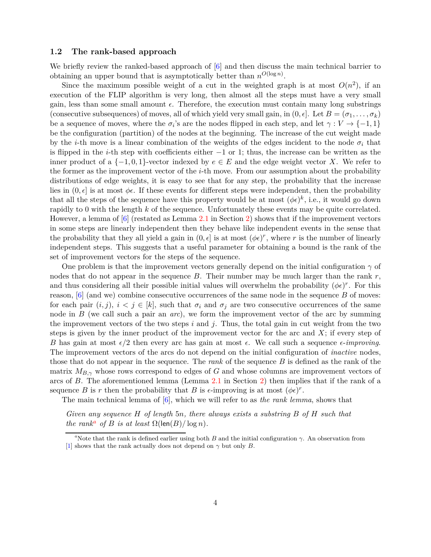#### <span id="page-3-0"></span>**1.2 The rank-based approach**

We briefly review the ranked-based approach of [\[6\]](#page-31-0) and then discuss the main technical barrier to obtaining an upper bound that is asymptotically better than  $n^{O(\log n)}$ .

Since the maximum possible weight of a cut in the weighted graph is at most  $O(n^2)$ , if an execution of the FLIP algorithm is very long, then almost all the steps must have a very small gain, less than some small amount  $\epsilon$ . Therefore, the execution must contain many long substrings (consecutive subsequences) of moves, all of which yield very small gain, in  $(0, \epsilon]$ . Let  $B = (\sigma_1, \ldots, \sigma_k)$ be a sequence of moves, where the  $\sigma_i$ 's are the nodes flipped in each step, and let  $\gamma: V \to \{-1, 1\}$ be the configuration (partition) of the nodes at the beginning. The increase of the cut weight made by the *i*-th move is a linear combination of the weights of the edges incident to the node  $\sigma_i$  that is flipped in the *i*-th step with coefficients either −1 or 1; thus, the increase can be written as the inner product of a  $\{-1,0,1\}$ -vector indexed by  $e \in E$  and the edge weight vector *X*. We refer to the former as the improvement vector of the *i*-th move. From our assumption about the probability distributions of edge weights, it is easy to see that for any step, the probability that the increase lies in  $(0, \epsilon]$  is at most  $\phi \epsilon$ . If these events for different steps were independent, then the probability that all the steps of the sequence have this property would be at most  $(\phi \epsilon)^k$ , i.e., it would go down rapidly to 0 with the length *k* of the sequence. Unfortunately these events may be quite correlated. However, a lemma of [\[6\]](#page-31-0) (restated as Lemma [2.1](#page-9-0) in Section [2\)](#page-7-0) shows that if the improvement vectors in some steps are linearly independent then they behave like independent events in the sense that the probability that they all yield a gain in  $(0, \epsilon]$  is at most  $(\phi \epsilon)^r$ , where *r* is the number of linearly independent steps. This suggests that a useful parameter for obtaining a bound is the rank of the set of improvement vectors for the steps of the sequence.

One problem is that the improvement vectors generally depend on the initial configuration  $\gamma$  of nodes that do not appear in the sequence *B*. Their number may be much larger than the rank *r*, and thus considering all their possible initial values will overwhelm the probability  $(\phi \epsilon)^r$ . For this reason, [\[6\]](#page-31-0) (and we) combine consecutive occurrences of the same node in the sequence *B* of moves: for each pair  $(i, j)$ ,  $i < j \in [k]$ , such that  $\sigma_i$  and  $\sigma_j$  are two consecutive occurrences of the same node in *B* (we call such a pair an *arc*), we form the improvement vector of the arc by summing the improvement vectors of the two steps *i* and *j*. Thus, the total gain in cut weight from the two steps is given by the inner product of the improvement vector for the arc and *X*; if every step of *B* has gain at most  $\epsilon/2$  then every arc has gain at most  $\epsilon$ . We call such a sequence  $\epsilon$ -*improving*. The improvement vectors of the arcs do not depend on the initial configuration of *inactive* nodes, those that do not appear in the sequence. The *rank* of the sequence *B* is defined as the rank of the matrix  $M_{B,\gamma}$  whose rows correspond to edges of *G* and whose columns are improvement vectors of arcs of *B*. The aforementioned lemma (Lemma [2.1](#page-9-0) in Section [2\)](#page-7-0) then implies that if the rank of a sequence *B* is *r* then the probability that *B* is  $\epsilon$ -improving is at most  $(\phi \epsilon)^r$ .

The main technical lemma of [\[6\]](#page-31-0), which we will refer to as *the rank lemma*, shows that

*Given any sequence H of length* 5*n, there always exists a substring B of H such that the r[a](#page-3-1)nk<sup>a</sup> of B is at least*  $\Omega(\text{len}(B)/\log n)$ *.* 

<span id="page-3-1"></span><sup>&</sup>lt;sup>a</sup>Note that the rank is defined earlier using both *B* and the initial configuration  $\gamma$ . An observation from [\[1\]](#page-31-3) shows that the rank actually does not depend on  $\gamma$  but only *B*.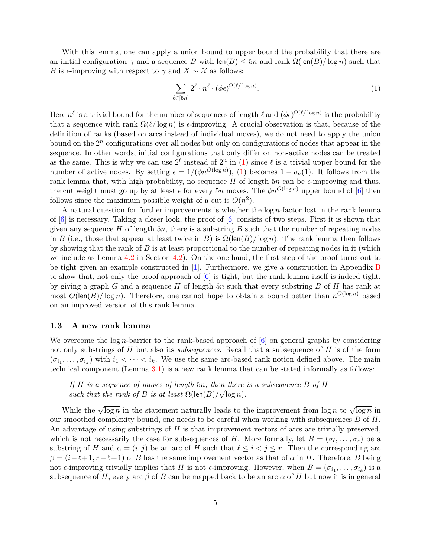With this lemma, one can apply a union bound to upper bound the probability that there are an initial configuration  $\gamma$  and a sequence *B* with len(*B*)  $\leq 5n$  and rank  $\Omega(\text{len}(B)/\log n)$  such that *B* is  $\epsilon$ -improving with respect to  $\gamma$  and  $X \sim \mathcal{X}$  as follows:

<span id="page-4-0"></span>
$$
\sum_{\ell \in [5n]} 2^{\ell} \cdot n^{\ell} \cdot (\phi \epsilon)^{\Omega(\ell/\log n)}.
$$
 (1)

Here  $n^{\ell}$  is a trivial bound for the number of sequences of length  $\ell$  and  $(\phi \epsilon)^{\Omega(\ell/\log n)}$  is the probability that a sequence with rank  $\Omega(\ell/\log n)$  is  $\epsilon$ -improving. A crucial observation is that, because of the definition of ranks (based on arcs instead of individual moves), we do not need to apply the union bound on the  $2^n$  configurations over all nodes but only on configurations of nodes that appear in the sequence. In other words, initial configurations that only differ on non-active nodes can be treated as the same. This is why we can use  $2^{\ell}$  instead of  $2^{n}$  in [\(1\)](#page-4-0) since  $\ell$  is a trivial upper bound for the number of active nodes. By setting  $\epsilon = 1/(\phi n^{O(\log n)})$ , [\(1\)](#page-4-0) becomes  $1 - o_n(1)$ . It follows from the rank lemma that, with high probability, no sequence  $H$  of length  $5n$  can be  $\epsilon$ -improving and thus, the cut weight must go up by at least  $\epsilon$  for every 5*n* moves. The  $\phi n^{O(\log n)}$  upper bound of [\[6\]](#page-31-0) then follows since the maximum possible weight of a cut is  $O(n^2)$ .

A natural question for further improvements is whether the log *n*-factor lost in the rank lemma of  $[6]$  is necessary. Taking a closer look, the proof of  $[6]$  consists of two steps. First it is shown that given any sequence  $H$  of length  $5n$ , there is a substring  $B$  such that the number of repeating nodes in *B* (i.e., those that appear at least twice in *B*) is  $\Omega(\text{len}(B)/\log n)$ . The rank lemma then follows by showing that the rank of *B* is at least proportional to the number of repeating nodes in it (which we include as Lemma [4.2](#page-13-0) in Section [4.2\)](#page-13-1). On the one hand, the first step of the proof turns out to be tight given an example constructed in [\[1\]](#page-31-3). Furthermore, we give a construction in Appendix [B](#page-30-0) to show that, not only the proof approach of  $[6]$  is tight, but the rank lemma itself is indeed tight, by giving a graph *G* and a sequence *H* of length 5*n* such that every substring *B* of *H* has rank at most  $O(\text{len}(B)/\log n)$ . Therefore, one cannot hope to obtain a bound better than  $n^{O(\log n)}$  based on an improved version of this rank lemma.

### <span id="page-4-1"></span>**1.3 A new rank lemma**

We overcome the log *n*-barrier to the rank-based approach of [\[6\]](#page-31-0) on general graphs by considering not only substrings of *H* but also its *subsequences*. Recall that a subsequence of *H* is of the form  $(\sigma_{i_1}, \ldots, \sigma_{i_k})$  with  $i_1 < \cdots < i_k$ . We use the same arc-based rank notion defined above. The main technical component (Lemma [3.1\)](#page-10-0) is a new rank lemma that can be stated informally as follows:

*If H is a sequence of moves of length* 5*n, then there is a subsequence B of H* such that the rank of *B* is at least  $\Omega(\text{len}(B)/\sqrt{\log n})$ .

While the  $\sqrt{\log n}$  in the statement naturally leads to the improvement from  $\log n$  to  $\sqrt{\log n}$  in our smoothed complexity bound, one needs to be careful when working with subsequences *B* of *H*. An advantage of using substrings of *H* is that improvement vectors of arcs are trivially preserved, which is not necessarily the case for subsequences of *H*. More formally, let  $B = (\sigma_{\ell}, \ldots, \sigma_{r})$  be a substring of *H* and  $\alpha = (i, j)$  be an arc of *H* such that  $\ell \leq i < j \leq r$ . Then the corresponding arc  $\beta = (i - \ell + 1, r - \ell + 1)$  of *B* has the same improvement vector as that of  $\alpha$  in *H*. Therefore, *B* being not  $\epsilon$ -improving trivially implies that *H* is not  $\epsilon$ -improving. However, when  $B = (\sigma_{i_1}, \ldots, \sigma_{i_k})$  is a subsequence of *H*, every arc  $\beta$  of *B* can be mapped back to be an arc  $\alpha$  of *H* but now it is in general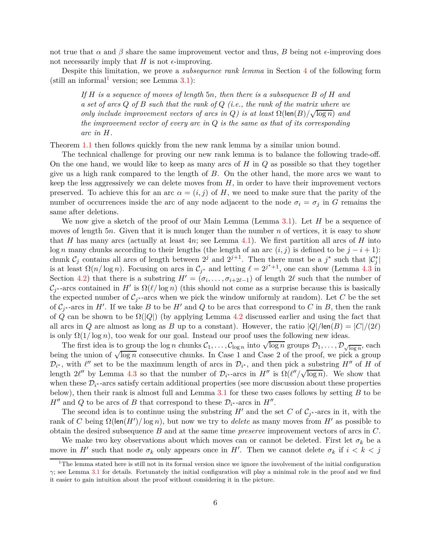not true that  $\alpha$  and  $\beta$  share the same improvement vector and thus,  $B$  being not  $\epsilon$ -improving does not necessarily imply that  $H$  is not  $\epsilon$ -improving.

Despite this limitation, we prove a *subsequence rank lemma* in Section [4](#page-11-0) of the following form (still an informal<sup>[1](#page-5-0)</sup> version; see Lemma  $3.1$ ):

*If H is a sequence of moves of length* 5*n, then there is a subsequence B of H and a set of arcs Q of B such that the rank of Q (i.e., the rank of the matrix where we only include improvement vectors of arcs in*  $Q$ *) is at least*  $\Omega(\text{len}(B)/\sqrt{\log n})$  *and the improvement vector of every arc in Q is the same as that of its corresponding arc in H.*

Theorem [1.1](#page-2-0) then follows quickly from the new rank lemma by a similar union bound.

The technical challenge for proving our new rank lemma is to balance the following trade-off. On the one hand, we would like to keep as many arcs of *H* in *Q* as possible so that they together give us a high rank compared to the length of *B*. On the other hand, the more arcs we want to keep the less aggressively we can delete moves from *H*, in order to have their improvement vectors preserved. To achieve this for an arc  $\alpha = (i, j)$  of *H*, we need to make sure that the parity of the number of occurrences inside the arc of any node adjacent to the node  $\sigma_i = \sigma_j$  in *G* remains the same after deletions.

We now give a sketch of the proof of our Main Lemma (Lemma [3.1\)](#page-10-0). Let *H* be a sequence of moves of length 5*n*. Given that it is much longer than the number *n* of vertices, it is easy to show that *H* has many arcs (actually at least  $4n$ ; see Lemma  $4.1$ ). We first partition all arcs of *H* into log *n* many chunks according to their lengths (the length of an arc  $(i, j)$  is defined to be  $j - i + 1$ ): chunk  $C_j$  contains all arcs of length between  $2^j$  and  $2^{j+1}$ . Then there must be a  $j^*$  such that  $|C_j^*|$ is at least  $\Omega(n/\log n)$ . Focusing on arcs in  $C_{j^*}$  and letting  $\ell = 2^{j^*+1}$ , one can show (Lemma [4.3](#page-13-2) in Section [4.2\)](#page-13-1) that there is a substring  $H' = (\sigma_i, \ldots, \sigma_{i+2\ell-1})$  of length 2 $\ell$  such that the number of  $\mathcal{C}_{j^*}$ -arcs contained in *H'* is  $\Omega(\ell/\log n)$  (this should not come as a surprise because this is basically the expected number of  $C_{j^*}$ -arcs when we pick the window uniformly at random). Let *C* be the set of  $C_j$ \*-arcs in *H'*. If we take *B* to be *H'* and *Q* to be arcs that correspond to *C* in *B*, then the rank of *Q* can be shown to be  $\Omega(|Q|)$  (by applying Lemma [4.2](#page-13-0) discussed earlier and using the fact that all arcs in *Q* are almost as long as *B* up to a constant). However, the ratio  $|Q|/len(B) = |C|/(2\ell)$ is only  $\Omega(1/\log n)$ , too weak for our goal. Instead our proof uses the following new ideas.

The first idea is to group the  $\log n$  chunks  $C_1, \ldots, C_{\log n}$  into  $\sqrt{\log n}$  groups  $\mathcal{D}_1, \ldots, \mathcal{D}_{\sqrt{\log n}}$ , each being the union of  $\sqrt{\log n}$  consecutive chunks. In Case 1 and Case 2 of the proof, we pick a group  $\mathcal{D}_{i^*}$ , with  $\ell''$  set to be the maximum length of arcs in  $\mathcal{D}_{i^*}$ , and then pick a substring  $H''$  of  $H$  of length  $2\ell''$  by Lemma [4.3](#page-13-2) so that the number of  $\mathcal{D}_{i^*}$ -arcs in  $H''$  is  $\Omega(\ell''/\sqrt{\log n})$ . We show that when these  $\mathcal{D}_{i^*}$ -arcs satisfy certain additional properties (see more discussion about these properties below), then their rank is almost full and Lemma [3.1](#page-10-0) for these two cases follows by setting *B* to be *H*<sup>″</sup> and *Q* to be arcs of *B* that correspond to these  $\mathcal{D}_{i^*}$ -arcs in *H*<sup>″</sup>.

The second idea is to continue using the substring  $H'$  and the set *C* of  $\mathcal{C}_{j^*}$ -arcs in it, with the rank of *C* being  $\Omega(\text{len}(H')/\log n)$ , but now we try to *delete* as many moves from  $H'$  as possible to obtain the desired subsequence *B* and at the same time *preserve* improvement vectors of arcs in *C*.

We make two key observations about which moves can or cannot be deleted. First let  $\sigma_k$  be a move in *H'* such that node  $\sigma_k$  only appears once in *H'*. Then we cannot delete  $\sigma_k$  if  $i < k < j$ 

<span id="page-5-0"></span> $1<sup>1</sup>$ The lemma stated here is still not in its formal version since we ignore the involvement of the initial configuration  $\gamma$ ; see Lemma [3.1](#page-10-0) for details. Fortunately the initial configuration will play a minimal role in the proof and we find it easier to gain intuition about the proof without considering it in the picture.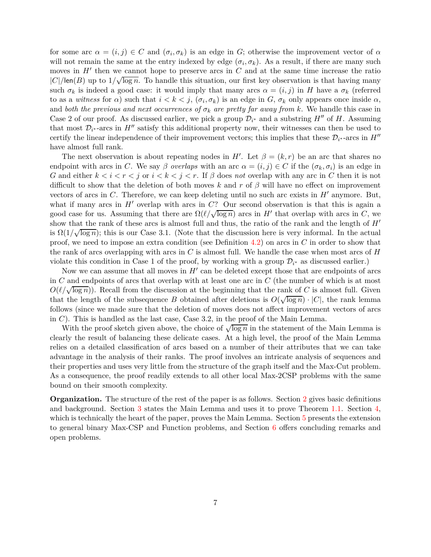for some arc  $\alpha = (i, j) \in C$  and  $(\sigma_i, \sigma_k)$  is an edge in *G*; otherwise the improvement vector of  $\alpha$ will not remain the same at the entry indexed by edge  $(\sigma_i, \sigma_k)$ . As a result, if there are many such moves in *H'* then we cannot hope to preserve arcs in *C* and at the same time increase the ratio  $|C|$ /len(*B*) up to  $1/\sqrt{\log n}$ . To handle this situation, our first key observation is that having many such  $\sigma_k$  is indeed a good case: it would imply that many arcs  $\alpha = (i, j)$  in *H* have a  $\sigma_k$  (referred to as a *witness* for  $\alpha$ ) such that  $i < k < j$ ,  $(\sigma_i, \sigma_k)$  is an edge in *G*,  $\sigma_k$  only appears once inside  $\alpha$ , and *both the previous and next occurrences of*  $\sigma_k$  *are pretty far away from k*. We handle this case in Case 2 of our proof. As discussed earlier, we pick a group  $\mathcal{D}_{i^*}$  and a substring  $H''$  of  $H$ . Assuming that most  $\mathcal{D}_{i^*}$ -arcs in  $H''$  satisfy this additional property now, their witnesses can then be used to certify the linear independence of their improvement vectors; this implies that these  $\mathcal{D}_{i^*}$ -arcs in  $H''$ have almost full rank.

The next observation is about repeating nodes in *H'*. Let  $\beta = (k, r)$  be an arc that shares no endpoint with arcs in *C*. We say *β overlaps* with an arc  $\alpha = (i, j) \in C$  if the  $(\sigma_k, \sigma_i)$  is an edge in *G* and either  $k < i < r < j$  or  $i < k < j < r$ . If  $\beta$  does not overlap with any arc in *C* then it is not difficult to show that the deletion of both moves *k* and *r* of *β* will have no effect on improvement vectors of arcs in *C*. Therefore, we can keep deleting until no such arc exists in *H*′ anymore. But, what if many arcs in *H*′ overlap with arcs in *C*? Our second observation is that this is again a good case for us. Assuming that there are  $\Omega(\ell/\sqrt{\log n})$  arcs in *H'* that overlap with arcs in *C*, we show that the rank of these arcs is almost full and thus, the ratio of the rank and the length of *H*′ is  $\Omega(1/\sqrt{\log n})$ ; this is our Case 3.1. (Note that the discussion here is very informal. In the actual proof, we need to impose an extra condition (see Definition [4.2\)](#page-12-0) on arcs in *C* in order to show that the rank of arcs overlapping with arcs in *C* is almost full. We handle the case when most arcs of *H* violate this condition in Case 1 of the proof, by working with a group  $\mathcal{D}_{i^*}$  as discussed earlier.)

Now we can assume that all moves in  $H'$  can be deleted except those that are endpoints of arcs in *C* and endpoints of arcs that overlap with at least one arc in *C* (the number of which is at most  $O(\ell/\sqrt{\log n})$ ). Recall from the discussion at the beginning that the rank of *C* is almost full. Given that the length of the subsequence *B* obtained after deletions is  $O(\sqrt{\log n}) \cdot |C|$ , the rank lemma follows (since we made sure that the deletion of moves does not affect improvement vectors of arcs in *C*). This is handled as the last case, Case 3.2, in the proof of the Main Lemma.

With the proof sketch given above, the choice of  $\sqrt{\log n}$  in the statement of the Main Lemma is clearly the result of balancing these delicate cases. At a high level, the proof of the Main Lemma relies on a detailed classification of arcs based on a number of their attributes that we can take advantage in the analysis of their ranks. The proof involves an intricate analysis of sequences and their properties and uses very little from the structure of the graph itself and the Max-Cut problem. As a consequence, the proof readily extends to all other local Max-2CSP problems with the same bound on their smooth complexity.

**Organization.** The structure of the rest of the paper is as follows. Section [2](#page-7-0) gives basic definitions and background. Section [3](#page-10-1) states the Main Lemma and uses it to prove Theorem [1.1.](#page-2-0) Section [4,](#page-11-0) which is technically the heart of the paper, proves the Main Lemma. Section [5](#page-25-0) presents the extension to general binary Max-CSP and Function problems, and Section [6](#page-28-0) offers concluding remarks and open problems.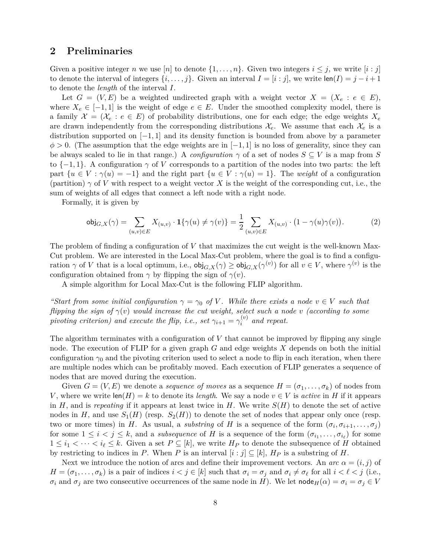## <span id="page-7-0"></span>**2 Preliminaries**

Given a positive integer *n* we use [*n*] to denote  $\{1, \ldots, n\}$ . Given two integers  $i \leq j$ , we write [*i* : *j*] to denote the interval of integers  $\{i, \ldots, j\}$ . Given an interval  $I = [i : j]$ , we write  $\text{len}(I) = j - i + 1$ to denote the *length* of the interval *I*.

Let  $G = (V, E)$  be a weighted undirected graph with a weight vector  $X = (X_e : e \in E)$ , where  $X_e \in [-1, 1]$  is the weight of edge  $e \in E$ . Under the smoothed complexity model, there is a family  $\mathcal{X} = (\mathcal{X}_e : e \in E)$  of probability distributions, one for each edge; the edge weights  $X_e$ are drawn independently from the corresponding distributions  $\mathcal{X}_e$ . We assume that each  $\mathcal{X}_e$  is a distribution supported on [−1*,* 1] and its density function is bounded from above by a parameter  $\phi > 0$ . (The assumption that the edge weights are in [−1, 1] is no loss of generality, since they can be always scaled to lie in that range.) A *configuration*  $\gamma$  of a set of nodes  $S \subseteq V$  is a map from *S* to  $\{-1, 1\}$ . A configuration  $\gamma$  of *V* corresponds to a partition of the nodes into two parts: the left part  $\{u \in V : \gamma(u) = -1\}$  and the right part  $\{u \in V : \gamma(u) = 1\}$ . The *weight* of a configuration (partition)  $\gamma$  of V with respect to a weight vector X is the weight of the corresponding cut, i.e., the sum of weights of all edges that connect a left node with a right node.

Formally, it is given by

$$
\text{obj}_{G,X}(\gamma) = \sum_{(u,v)\in E} X_{(u,v)} \cdot \mathbf{1}\{\gamma(u) \neq \gamma(v)\} = \frac{1}{2} \sum_{(u,v)\in E} X_{(u,v)} \cdot (1 - \gamma(u)\gamma(v)). \tag{2}
$$

The problem of finding a configuration of *V* that maximizes the cut weight is the well-known Max-Cut problem. We are interested in the Local Max-Cut problem, where the goal is to find a configuration  $\gamma$  of *V* that is a local optimum, i.e.,  $\text{obj}_{G,X}(\gamma) \ge \text{obj}_{G,X}(\gamma^{(v)})$  for all  $v \in V$ , where  $\gamma^{(v)}$  is the configuration obtained from  $\gamma$  by flipping the sign of  $\gamma(v)$ .

A simple algorithm for Local Max-Cut is the following FLIP algorithm.

*"Start from some initial configuration*  $\gamma = \gamma_0$  *of V*. While there exists a node  $v \in V$  such that *flipping the sign of*  $\gamma(v)$  *would increase the cut weight, select such a node v (according to some pivoting criterion) and execute the flip, i.e., set*  $\gamma_{i+1} = \gamma_i^{(v)}$  $i^{(v)}$  and repeat.

The algorithm terminates with a configuration of *V* that cannot be improved by flipping any single node. The execution of FLIP for a given graph *G* and edge weights *X* depends on both the initial configuration  $\gamma_0$  and the pivoting criterion used to select a node to flip in each iteration, when there are multiple nodes which can be profitably moved. Each execution of FLIP generates a sequence of nodes that are moved during the execution.

Given  $G = (V, E)$  we denote a *sequence of moves* as a sequence  $H = (\sigma_1, \ldots, \sigma_k)$  of nodes from *V*, where we write  $\text{len}(H) = k$  to denote its *length*. We say a node  $v \in V$  is *active* in *H* if it appears in  $H$ , and is *repeating* if it appears at least twice in  $H$ . We write  $S(H)$  to denote the set of active nodes in *H*, and use  $S_1(H)$  (resp.  $S_2(H)$ ) to denote the set of nodes that appear only once (resp. two or more times) in *H*. As usual, a *substring* of *H* is a sequence of the form  $(\sigma_i, \sigma_{i+1}, \ldots, \sigma_j)$ for some  $1 \leq i < j \leq k$ , and a *subsequence* of *H* is a sequence of the form  $(\sigma_{i_1}, \ldots, \sigma_{i_\ell})$  for some  $1 \leq i_1 < \cdots < i_\ell \leq k$ . Given a set  $P \subseteq [k]$ , we write  $H_P$  to denote the subsequence of H obtained by restricting to indices in *P*. When *P* is an interval  $[i : j] \subseteq [k]$ ,  $H_P$  is a substring of *H*.

Next we introduce the notion of arcs and define their improvement vectors. An *arc*  $\alpha = (i, j)$  of  $H = (\sigma_1, \ldots, \sigma_k)$  is a pair of indices  $i < j \in [k]$  such that  $\sigma_i = \sigma_j$  and  $\sigma_i \neq \sigma_\ell$  for all  $i < \ell < j$  (i.e.,  $\sigma_i$  and  $\sigma_j$  are two consecutive occurrences of the same node in *H*). We let node<sub>*H*</sub>( $\alpha$ ) =  $\sigma_i = \sigma_j \in V$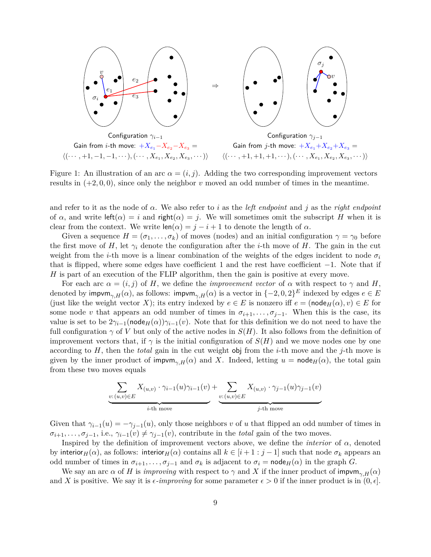

Figure 1: An illustration of an arc  $\alpha = (i, j)$ . Adding the two corresponding improvement vectors results in  $(+2, 0, 0)$ , since only the neighbor *v* moved an odd number of times in the meantime.

and refer to it as the node of *α*. We also refer to *i* as the *left endpoint* and *j* as the *right endpoint* of  $\alpha$ , and write left( $\alpha$ ) = *i* and right( $\alpha$ ) = *j*. We will sometimes omit the subscript *H* when it is clear from the context. We write  $\text{len}(\alpha) = j - i + 1$  to denote the length of  $\alpha$ .

Given a sequence  $H = (\sigma_1, \ldots, \sigma_k)$  of moves (nodes) and an initial configuration  $\gamma = \gamma_0$  before the first move of *H*, let  $\gamma_i$  denote the configuration after the *i*-th move of *H*. The gain in the cut weight from the *i*-th move is a linear combination of the weights of the edges incident to node  $\sigma_i$ that is flipped, where some edges have coefficient 1 and the rest have coefficient −1. Note that if *H* is part of an execution of the FLIP algorithm, then the gain is positive at every move.

For each arc  $\alpha = (i, j)$  of *H*, we define the *improvement vector* of  $\alpha$  with respect to  $\gamma$  and *H*, denoted by  $\mathsf{impvm}_{\gamma,H}(\alpha)$ , as follows:  $\mathsf{impvm}_{\gamma,H}(\alpha)$  is a vector in  $\{-2,0,2\}^E$  indexed by edges  $e \in E$ (just like the weight vector X); its entry indexed by  $e \in E$  is nonzero iff  $e = (\text{node}_H(\alpha), v) \in E$  for some node *v* that appears an odd number of times in  $\sigma_{i+1}, \ldots, \sigma_{i-1}$ . When this is the case, its value is set to be  $2\gamma_{i-1}(\text{node}_H(\alpha))\gamma_{i-1}(v)$ . Note that for this definition we do not need to have the full configuration  $\gamma$  of *V* but only of the active nodes in  $S(H)$ . It also follows from the definition of improvement vectors that, if  $\gamma$  is the initial configuration of  $S(H)$  and we move nodes one by one according to *H*, then the *total* gain in the cut weight obj from the *i*-th move and the *j*-th move is given by the inner product of impvm<sub> $\gamma$ </sub> $_H(\alpha)$  and *X*. Indeed, letting  $u = \text{node}_H(\alpha)$ , the total gain from these two moves equals

$$
\underbrace{\sum_{v:(u,v)\in E} X_{(u,v)} \cdot \gamma_{i-1}(u)\gamma_{i-1}(v)}_{i\text{-th move}} + \underbrace{\sum_{v:(u,v)\in E} X_{(u,v)} \cdot \gamma_{j-1}(u)\gamma_{j-1}(v)}_{j\text{-th move}}
$$

Given that  $\gamma_{i-1}(u) = -\gamma_{i-1}(u)$ , only those neighbors *v* of *u* that flipped an odd number of times in  $\sigma_{i+1}, \ldots, \sigma_{j-1}$ , i.e.,  $\gamma_{i-1}(v) \neq \gamma_{j-1}(v)$ , contribute in the *total* gain of the two moves.

Inspired by the definition of improvement vectors above, we define the *interior* of  $\alpha$ , denoted by interior<sub>H</sub>( $\alpha$ ), as follows: interior<sub>H</sub>( $\alpha$ ) contains all  $k \in [i+1:j-1]$  such that node  $\sigma_k$  appears an odd number of times in  $\sigma_{i+1}, \ldots, \sigma_{j-1}$  and  $\sigma_k$  is adjacent to  $\sigma_i = \text{node}_H(\alpha)$  in the graph *G*.

We say an arc  $\alpha$  of *H* is *improving* with respect to  $\gamma$  and *X* if the inner product of impvm<sub> $\gamma$ </sub> $_H(\alpha)$ and *X* is positive. We say it is  $\epsilon$ *-improving* for some parameter  $\epsilon > 0$  if the inner product is in  $(0, \epsilon]$ .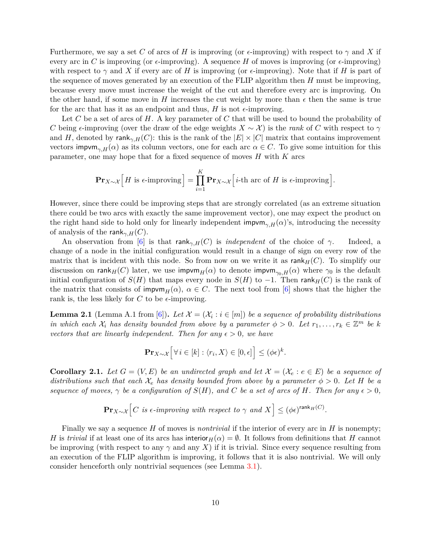Furthermore, we say a set C of arcs of H is improving (or  $\epsilon$ -improving) with respect to  $\gamma$  and X if every arc in *C* is improving (or  $\epsilon$ -improving). A sequence *H* of moves is improving (or  $\epsilon$ -improving) with respect to  $\gamma$  and X if every arc of H is improving (or  $\epsilon$ -improving). Note that if H is part of the sequence of moves generated by an execution of the FLIP algorithm then *H* must be improving, because every move must increase the weight of the cut and therefore every arc is improving. On the other hand, if some move in *H* increases the cut weight by more than  $\epsilon$  then the same is true for the arc that has it as an endpoint and thus,  $H$  is not  $\epsilon$ -improving.

Let *C* be a set of arcs of *H*. A key parameter of *C* that will be used to bound the probability of *C* being  $\epsilon$ -improving (over the draw of the edge weights  $X \sim \mathcal{X}$ ) is the *rank* of *C* with respect to  $\gamma$ and *H*, denoted by rank<sub>γ</sub> $H(C)$ : this is the rank of the  $|E| \times |C|$  matrix that contains improvement vectors impvm<sub> $\gamma$ </sub> $_H(\alpha)$  as its column vectors, one for each arc  $\alpha \in C$ . To give some intuition for this parameter, one may hope that for a fixed sequence of moves *H* with *K* arcs

$$
\mathbf{Pr}_{X \sim \mathcal{X}} \Big[ H \text{ is } \epsilon\text{-improving} \Big] = \prod_{i=1}^K \mathbf{Pr}_{X \sim \mathcal{X}} \Big[ i\text{-th arc of } H \text{ is } \epsilon\text{-improving} \Big].
$$

However, since there could be improving steps that are strongly correlated (as an extreme situation there could be two arcs with exactly the same improvement vector), one may expect the product on the right hand side to hold only for linearly independent  $\text{impvm}_{\gamma,H}(\alpha)$ 's, introducing the necessity of analysis of the rank $_{\gamma,H}(C)$ .

An observation from [\[6\]](#page-31-0) is that  $rank_{\gamma,H}(C)$  is *independent* of the choice of  $\gamma$ . Indeed, a change of a node in the initial configuration would result in a change of sign on every row of the matrix that is incident with this node. So from now on we write it as  $\text{rank}_{H}(C)$ . To simplify our discussion on rank<sub>*H*</sub>(*C*) later, we use impvm<sub>*H*</sub>( $\alpha$ ) to denote impvm<sub> $\gamma_0$ ,*H*( $\alpha$ ) where  $\gamma_0$  is the default</sub> initial configuration of  $S(H)$  that maps every node in  $S(H)$  to  $-1$ . Then rank  $H(K)$  is the rank of the matrix that consists of impvm<sub>H</sub>( $\alpha$ ),  $\alpha \in C$ . The next tool from [\[6\]](#page-31-0) shows that the higher the rank is, the less likely for  $C$  to be  $\epsilon$ -improving.

<span id="page-9-0"></span>**Lemma 2.1** (Lemma A.1 from [\[6\]](#page-31-0)). Let  $\mathcal{X} = (\mathcal{X}_i : i \in [m])$  be a sequence of probability distributions *in which each*  $\mathcal{X}_i$  *has density bounded from above by a parameter*  $\phi > 0$ *. Let*  $r_1, \ldots, r_k \in \mathbb{Z}^m$  *be k vectors that are linearly independent. Then for any*  $\epsilon > 0$ *, we have* 

$$
\mathbf{Pr}_{X \sim \mathcal{X}} \Big[ \forall i \in [k] : \langle r_i, X \rangle \in [0, \epsilon] \Big] \leq (\phi \epsilon)^k.
$$

<span id="page-9-1"></span>**Corollary 2.1.** *Let*  $G = (V, E)$  *be an undirected graph and let*  $\mathcal{X} = (\mathcal{X}_e : e \in E)$  *be a sequence of distributions such that each*  $\mathcal{X}_e$  *has density bounded from above by a parameter*  $\phi > 0$ *. Let H be a sequence of moves,*  $\gamma$  *be a configuration of*  $S(H)$ *, and C be a set of arcs of H. Then for any*  $\epsilon > 0$ *,* 

$$
\mathbf{Pr}_{X \sim \mathcal{X}} \Big[ C \text{ is } \epsilon\text{-improving with respect to } \gamma \text{ and } X \Big] \leq (\phi \epsilon)^{\mathsf{rank}_H(C)}.
$$

Finally we say a sequence *H* of moves is *nontrivial* if the interior of every arc in *H* is nonempty; *H* is *trivial* if at least one of its arcs has interior<sub>*H*</sub>( $\alpha$ ) =  $\emptyset$ . It follows from definitions that *H* cannot be improving (with respect to any  $\gamma$  and any X) if it is trivial. Since every sequence resulting from an execution of the FLIP algorithm is improving, it follows that it is also nontrivial. We will only consider henceforth only nontrivial sequences (see Lemma [3.1\)](#page-10-0).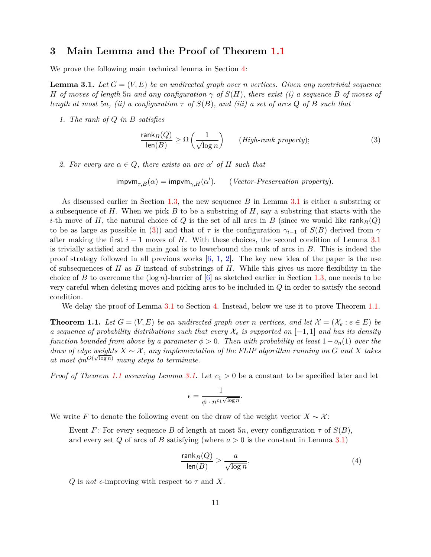# <span id="page-10-1"></span>**3 Main Lemma and the Proof of Theorem [1.1](#page-2-0)**

We prove the following main technical lemma in Section [4:](#page-11-0)

<span id="page-10-0"></span>**Lemma 3.1.** Let  $G = (V, E)$  be an undirected graph over *n* vertices. Given any nontrivial sequence *H of moves of length* 5*n and any configuration γ of S*(*H*)*, there exist (i) a sequence B of moves of length at most* 5*n*, *(ii) a configuration*  $\tau$  *of*  $S(B)$ *, and (iii) a set of arcs*  $Q$  *of*  $B$  *such that* 

*1. The rank of Q in B satisfies*

<span id="page-10-2"></span>
$$
\frac{\text{rank}_B(Q)}{\text{len}(B)} \ge \Omega\left(\frac{1}{\sqrt{\log n}}\right) \qquad (High-rank \ property); \tag{3}
$$

2. For every arc  $\alpha \in Q$ , there exists an arc  $\alpha'$  of H such that

 $\mathsf{impvm}_{\tau,B}(\alpha) = \mathsf{impvm}_{\gamma,H}(\alpha').$  (*Vector-Preservation property*).

As discussed earlier in Section [1.3,](#page-4-1) the new sequence *B* in Lemma [3.1](#page-10-0) is either a substring or a subsequence of *H*. When we pick *B* to be a substring of *H*, say a substring that starts with the *i*-th move of *H*, the natural choice of *Q* is the set of all arcs in *B* (since we would like rank<sub>*B*</sub>(*Q*) to be as large as possible in [\(3\)](#page-10-2)) and that of  $\tau$  is the configuration  $\gamma_{i-1}$  of  $S(B)$  derived from  $\gamma$ after making the first *i* − 1 moves of *H*. With these choices, the second condition of Lemma [3.1](#page-10-0) is trivially satisfied and the main goal is to lowerbound the rank of arcs in *B*. This is indeed the proof strategy followed in all previous works  $[6, 1, 2]$  $[6, 1, 2]$  $[6, 1, 2]$  $[6, 1, 2]$ . The key new idea of the paper is the use of subsequences of *H* as *B* instead of substrings of *H*. While this gives us more flexibility in the choice of *B* to overcome the  $(\log n)$ -barrier of  $[6]$  as sketched earlier in Section [1.3,](#page-4-1) one needs to be very careful when deleting moves and picking arcs to be included in *Q* in order to satisfy the second condition.

We delay the proof of Lemma [3.1](#page-10-0) to Section [4.](#page-11-0) Instead, below we use it to prove Theorem [1.1.](#page-2-0)

**Theorem 1.1.** Let  $G = (V, E)$  be an undirected graph over *n* vertices, and let  $\mathcal{X} = (\mathcal{X}_e : e \in E)$  be *a sequence of probability distributions such that every*  $\mathcal{X}_e$  *is supported on*  $[-1,1]$  *and has its density function bounded from above by a parameter*  $\phi > 0$ . Then with probability at least  $1 - o_n(1)$  over the *draw of edge weights*  $X \sim \mathcal{X}$ *, any implementation of the FLIP algorithm running on G and*  $X$  *takes at most*  $\phi_n^{O(\sqrt{\log n})}$  *many steps to terminate.* 

*Proof of Theorem [1.1](#page-2-0) assuming Lemma [3.1.](#page-10-0)* Let  $c_1 > 0$  be a constant to be specified later and let

$$
\epsilon = \frac{1}{\phi \cdot n^{c_1 \sqrt{\log n}}}.
$$

We write F to denote the following event on the draw of the weight vector  $X \sim \mathcal{X}$ :

Event *F*: For every sequence *B* of length at most 5*n*, every configuration  $\tau$  of  $S(B)$ , and every set  $Q$  of arcs of  $B$  satisfying (where  $a > 0$  is the constant in Lemma [3.1\)](#page-10-0)

<span id="page-10-3"></span>
$$
\frac{\text{rank}_B(Q)}{\text{len}(B)} \ge \frac{a}{\sqrt{\log n}},\tag{4}
$$

*Q* is *not*  $\epsilon$ -improving with respect to  $\tau$  and X.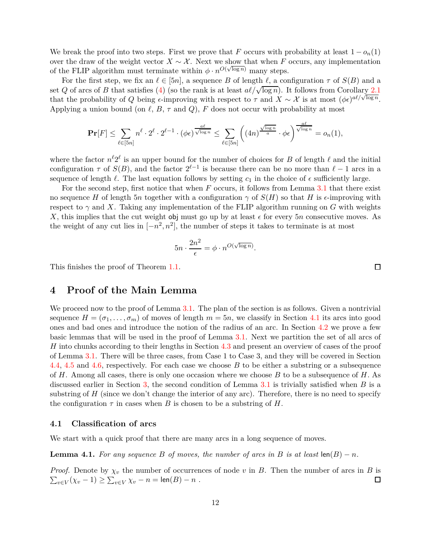We break the proof into two steps. First we prove that *F* occurs with probability at least  $1 - o_n(1)$ over the draw of the weight vector  $X \sim \mathcal{X}$ . Next we show that when *F* occurs, any implementation of the FLIP algorithm must terminate within  $\phi \cdot n^{O(\sqrt{\log n})}$  many steps.

For the first step, we fix an  $\ell \in [5n]$ , a sequence *B* of length  $\ell$ , a configuration  $\tau$  of  $S(B)$  and a set *Q* of arcs of *B* that satisfies [\(4\)](#page-10-3) (so the rank is at least  $a\ell/\sqrt{\log n}$ ). It follows from Corollary [2.1](#page-9-1) that the probability of *Q* being  $\epsilon$ -improving with respect to *τ* and  $X \sim \mathcal{X}$  is at most  $(\phi \epsilon)^{a\ell/\sqrt{\log n}}$ . Applying a union bound (on  $\ell$ ,  $B$ ,  $\tau$  and  $Q$ ),  $F$  does not occur with probability at most

$$
\mathbf{Pr}[F] \le \sum_{\ell \in [5n]} n^{\ell} \cdot 2^{\ell} \cdot 2^{\ell-1} \cdot (\phi \epsilon)^{\frac{a\ell}{\sqrt{\log n}}} \le \sum_{\ell \in [5n]} \left( (4n)^{\frac{\sqrt{\log n}}{a}} \cdot \phi \epsilon \right)^{\frac{a\ell}{\sqrt{\log n}}} = o_n(1),
$$

where the factor  $n^{\ell}2^{\ell}$  is an upper bound for the number of choices for *B* of length  $\ell$  and the initial configuration  $\tau$  of  $S(B)$ , and the factor  $2^{\ell-1}$  is because there can be no more than  $\ell-1$  arcs in a sequence of length  $\ell$ . The last equation follows by setting  $c_1$  in the choice of  $\epsilon$  sufficiently large.

For the second step, first notice that when *F* occurs, it follows from Lemma [3.1](#page-10-0) that there exist no sequence *H* of length 5*n* together with a configuration  $\gamma$  of  $S(H)$  so that *H* is  $\epsilon$ -improving with respect to  $\gamma$  and X. Taking any implementation of the FLIP algorithm running on G with weights *X*, this implies that the cut weight obj must go up by at least  $\epsilon$  for every 5*n* consecutive moves. As the weight of any cut lies in  $[-n^2, n^2]$ , the number of steps it takes to terminate is at most

$$
5n \cdot \frac{2n^2}{\epsilon} = \phi \cdot n^{O(\sqrt{\log n})}.
$$

<span id="page-11-0"></span>This finishes the proof of Theorem [1.1.](#page-2-0)

# **4 Proof of the Main Lemma**

We proceed now to the proof of Lemma [3.1.](#page-10-0) The plan of the section is as follows. Given a nontrivial sequence  $H = (\sigma_1, \ldots, \sigma_m)$  of moves of length  $m = 5n$ , we classify in Section [4.1](#page-11-2) its arcs into good ones and bad ones and introduce the notion of the radius of an arc. In Section [4.2](#page-13-1) we prove a few basic lemmas that will be used in the proof of Lemma [3.1.](#page-10-0) Next we partition the set of all arcs of *H* into chunks according to their lengths in Section [4.3](#page-14-0) and present an overview of cases of the proof of Lemma [3.1.](#page-10-0) There will be three cases, from Case 1 to Case 3, and they will be covered in Section [4.4,](#page-15-0) [4.5](#page-16-0) and [4.6,](#page-18-0) respectively. For each case we choose *B* to be either a substring or a subsequence of *H*. Among all cases, there is only one occasion where we choose *B* to be a subsequence of *H*. As discussed earlier in Section [3,](#page-10-1) the second condition of Lemma [3.1](#page-10-0) is trivially satisfied when *B* is a substring of  $H$  (since we don't change the interior of any arc). Therefore, there is no need to specify the configuration  $\tau$  in cases when *B* is chosen to be a substring of *H*.

### <span id="page-11-2"></span>**4.1 Classification of arcs**

We start with a quick proof that there are many arcs in a long sequence of moves.

<span id="page-11-1"></span>**Lemma 4.1.** *For any sequence B of moves, the number of arcs in B is at least*  $\text{len}(B) - n$ *.* 

*Proof.* Denote by  $\chi_v$  the number of occurrences of node *v* in *B*. Then the number of arcs in *B* is  $\sum_{v \in V} (\chi_v - 1) \ge \sum_{v \in V} \chi_v - n = \text{len}(B) - n$ . □

 $\square$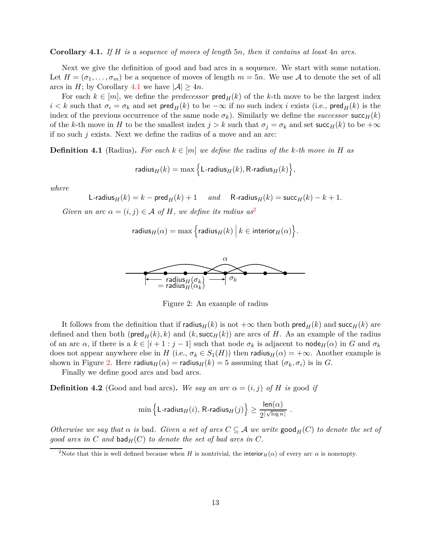<span id="page-12-1"></span>**Corollary 4.1.** *If H is a sequence of moves of length* 5*n, then it contains at least* 4*n arcs.*

Next we give the definition of good and bad arcs in a sequence. We start with some notation. Let  $H = (\sigma_1, \ldots, \sigma_m)$  be a sequence of moves of length  $m = 5n$ . We use A to denote the set of all arcs in *H*; by Corollary [4.1](#page-12-1) we have  $|\mathcal{A}| \geq 4n$ .

For each  $k \in [m]$ , we define the *predecessor*  $\text{pred}_{H}(k)$  of the k-th move to be the largest index  $i < k$  such that  $\sigma_i = \sigma_k$  and set pred<sub>*H*</sub>(*k*) to be  $-\infty$  if no such index *i* exists (i.e., pred<sub>*H*</sub>(*k*) is the index of the previous occurrence of the same node  $\sigma_k$ ). Similarly we define the *successor* succ<sub>H</sub>(k) of the *k*-th move in *H* to be the smallest index  $j > k$  such that  $\sigma_j = \sigma_k$  and set succ<sub>*H*</sub>(*k*) to be  $+\infty$ if no such *j* exists. Next we define the radius of a move and an arc:

**Definition 4.1** (Radius). For each  $k \in [m]$  we define the radius of the k-th move in H as

$$
\mathsf{radius}_{H}(k) = \max\Big\{\mathsf{L}\text{-radius}_{H}(k), \mathsf{R}\text{-radius}_{H}(k)\Big\},
$$

*where*

L*-*radius*H*(*k*) = *k* − pred*H*(*k*) + 1 *and* R*-*radius*H*(*k*) = succ*H*(*k*) − *k* + 1*.*

<span id="page-12-3"></span>*Given an arc*  $\alpha = (i, j) \in \mathcal{A}$  *of H, we define its radius as*<sup>[2](#page-12-2)</sup>

$$
\mathsf{radius}_{H}(\alpha) = \max \Big\{ \mathsf{radius}_{H}(k) \Big| \, k \in \mathsf{interior}_{H}(\alpha) \Big\}.
$$



Figure 2: An example of radius

It follows from the definition that if radius<sub>*H*</sub>(*k*) is not  $+\infty$  then both  $\text{pred}_{H}(k)$  and  $\text{succ}_{H}(k)$  are defined and then both ( $\textsf{pred}_{H}(k), k$ ) and  $(k, \textsf{succ}_{H}(k))$  are arcs of *H*. As an example of the radius of an arc  $\alpha$ , if there is a  $k \in [i+1 : j-1]$  such that node  $\sigma_k$  is adjacent to node<sub>H</sub>( $\alpha$ ) in *G* and  $\sigma_k$ does not appear anywhere else in *H* (i.e.,  $\sigma_k \in S_1(H)$ ) then radius<sub>*H*</sub>( $\alpha$ ) = + $\infty$ . Another example is shown in Figure [2.](#page-12-3) Here radius $H(\alpha) = \text{radius}_{H}(k) = 5$  assuming that  $(\sigma_k, \sigma_i)$  is in *G*.

Finally we define good arcs and bad arcs.

<span id="page-12-0"></span>**Definition 4.2** (Good and bad arcs). We say an arc  $\alpha = (i, j)$  of H is good if

$$
\min\left\{\text{L-radius}_{H}(i),\,\text{R-radius}_{H}(j)\right\} \ge \frac{\text{len}(\alpha)}{2^{\lceil\sqrt{\log n}\rceil}}
$$

*.*

*Otherwise we say that*  $\alpha$  *is* bad. Given a set of arcs  $C \subseteq A$  we write  $\text{good}_{H}(C)$  to denote the set of *good arcs in*  $C$  *and*  $\text{bad}_{H}(C)$  *to denote the set of bad arcs in*  $C$ *.* 

<span id="page-12-2"></span><sup>&</sup>lt;sup>2</sup>Note that this is well defined because when *H* is nontrivial, the interior<sub>*H*</sub>( $\alpha$ ) of every arc  $\alpha$  is nonempty.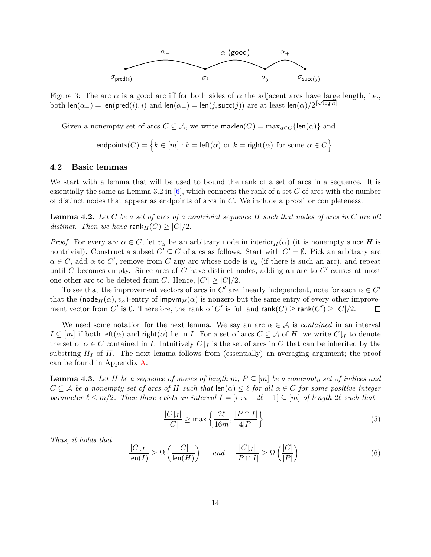

Figure 3: The arc  $\alpha$  is a good arc iff for both sides of  $\alpha$  the adjacent arcs have large length, i.e., both  $\text{len}(\alpha_{-}) = \text{len}(\text{pred}(i), i)$  and  $\text{len}(\alpha_{+}) = \text{len}(j, \text{succ}(j))$  are at least  $\text{len}(\alpha)/2^{\lceil \sqrt{\log n} \rceil}$ 

Given a nonempty set of arcs  $C \subseteq A$ , we write  $\mathsf{maxlen}(C) = \max_{\alpha \in C} {\{\mathsf{len}(\alpha)\}\text{ and}}$ 

 $\mathsf{endpoints}(C) = \Big\{ k \in [m] : k = \mathsf{left}(\alpha) \text{ or } k = \mathsf{right}(\alpha) \text{ for some } \alpha \in C \Big\}.$ 

### <span id="page-13-1"></span>**4.2 Basic lemmas**

We start with a lemma that will be used to bound the rank of a set of arcs in a sequence. It is essentially the same as Lemma 3.2 in  $[6]$ , which connects the rank of a set C of arcs with the number of distinct nodes that appear as endpoints of arcs in *C*. We include a proof for completeness.

<span id="page-13-0"></span>**Lemma 4.2.** *Let C be a set of arcs of a nontrivial sequence H such that nodes of arcs in C are all distinct. Then we have*  $\text{rank}_H(C) \geq |C|/2$ .

*Proof.* For every arc  $\alpha \in C$ , let  $v_{\alpha}$  be an arbitrary node in interior<sub>H</sub>( $\alpha$ ) (it is nonempty since H is nontrivial). Construct a subset  $C' \subseteq C$  of arcs as follows. Start with  $C' = \emptyset$ . Pick an arbitrary arc  $\alpha \in C$ , add  $\alpha$  to  $C'$ , remove from *C* any arc whose node is  $v_{\alpha}$  (if there is such an arc), and repeat until *C* becomes empty. Since arcs of *C* have distinct nodes, adding an arc to  $C'$  causes at most one other arc to be deleted from *C*. Hence,  $|C'| \ge |C|/2$ .

To see that the improvement vectors of arcs in  $C'$  are linearly independent, note for each  $\alpha \in C'$ that the (node<sub>H</sub>( $\alpha$ ),  $v_{\alpha}$ )-entry of impvm<sub>H</sub>( $\alpha$ ) is nonzero but the same entry of every other improvement vector from  $C'$  is 0. Therefore, the rank of  $C'$  is full and  $\mathsf{rank}(C) \geq \mathsf{rank}(C') \geq |C|/2$ . □

We need some notation for the next lemma. We say an arc  $\alpha \in \mathcal{A}$  is *contained* in an interval  $I \subseteq [m]$  if both left( $\alpha$ ) and right( $\alpha$ ) lie in *I*. For a set of arcs  $C \subseteq \mathcal{A}$  of *H*, we write  $C \downharpoonright I$  to denote the set of  $\alpha \in C$  contained in *I*. Intuitively  $C|_I$  is the set of arcs in *C* that can be inherited by the substring  $H_I$  of  $H$ . The next lemma follows from (essentially) an averaging argument; the proof can be found in Appendix [A.](#page-29-0)

<span id="page-13-2"></span>**Lemma 4.3.** Let *H* be a sequence of moves of length  $m, P \subseteq [m]$  be a nonempty set of indices and  $C \subseteq A$  *be a nonempty set of arcs of H such that*  $\text{len}(\alpha) \leq \ell$  *for all*  $\alpha \in C$  *for some positive integer parameter*  $\ell \leq m/2$ . Then there exists an interval  $I = [i : i + 2\ell - 1] \subseteq [m]$  of length 2 $\ell$  *such that* 

<span id="page-13-3"></span>
$$
\frac{|C|I|}{|C|} \ge \max\left\{\frac{2\ell}{16m}, \frac{|P \cap I|}{4|P|}\right\}.
$$
\n
$$
(5)
$$

*Thus, it holds that*

$$
\frac{|C|_I|}{\text{len}(I)} \ge \Omega\left(\frac{|C|}{\text{len}(H)}\right) \quad \text{and} \quad \frac{|C|_I|}{|P \cap I|} \ge \Omega\left(\frac{|C|}{|P|}\right). \tag{6}
$$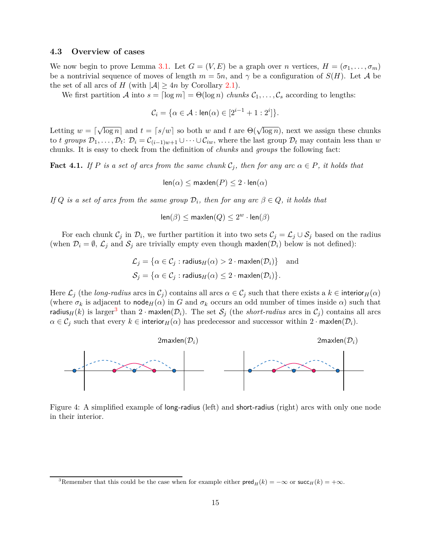### <span id="page-14-0"></span>**4.3 Overview of cases**

We now begin to prove Lemma [3.1.](#page-10-0) Let  $G = (V, E)$  be a graph over *n* vertices,  $H = (\sigma_1, \ldots, \sigma_m)$ be a nontrivial sequence of moves of length  $m = 5n$ , and  $\gamma$  be a configuration of  $S(H)$ . Let A be the set of all arcs of *H* (with  $|A| \ge 4n$  by Corollary [2.1\)](#page-9-1).

We first partition A into  $s = \lceil \log m \rceil = \Theta(\log n)$  *chunks*  $C_1, \ldots, C_s$  according to lengths:

 $\mathcal{C}_i = \{ \alpha \in \mathcal{A} : \mathsf{len}(\alpha) \in [2^{i-1} + 1 : 2^i] \}.$ 

Letting  $w = \lceil \sqrt{\log n} \rceil$  and  $t = \lceil s/w \rceil$  so both *w* and *t* are  $\Theta(\sqrt{\log n})$ , next we assign these chunks to *t* groups  $\mathcal{D}_1, \ldots, \mathcal{D}_t$ :  $\mathcal{D}_i = \mathcal{C}_{(i-1)w+1} \cup \cdots \cup \mathcal{C}_{iw}$ , where the last group  $\mathcal{D}_t$  may contain less than *w* chunks. It is easy to check from the definition of *chunks* and *groups* the following fact:

<span id="page-14-2"></span>**Fact 4.1.** *If P is a set of arcs from the same chunk*  $C_j$ *, then for any arc*  $\alpha \in P$ *, it holds that* 

 $len(\alpha)$  < maxlen(*P*) < 2 · len( $\alpha$ )

*If*  $Q$  *is a set of arcs from the same group*  $D_i$ , then for any arc  $\beta \in Q$ , it holds that

 $\mathsf{len}(\beta) \leq \mathsf{maxlen}(Q) \leq 2^w \cdot \mathsf{len}(\beta)$ 

For each chunk  $C_j$  in  $\mathcal{D}_i$ , we further partition it into two sets  $C_j = \mathcal{L}_j \cup \mathcal{S}_j$  based on the radius (when  $\mathcal{D}_i = \emptyset$ ,  $\mathcal{L}_j$  and  $\mathcal{S}_j$  are trivially empty even though maxlen( $\mathcal{D}_i$ ) below is not defined):

> $\mathcal{L}_j = \{ \alpha \in \mathcal{C}_j : \textsf{radius}_{H}(\alpha) > 2 \cdot \textsf{maxlen}(\mathcal{D}_i) \} \text{ and}$  $\mathcal{S}_j = \{ \alpha \in \mathcal{C}_j : \textsf{radius}_{H}(\alpha) \leq 2 \cdot \textsf{maxlen}(\mathcal{D}_i) \}.$

Here  $\mathcal{L}_j$  (the *long-radius* arcs in  $\mathcal{C}_j$ ) contains all arcs  $\alpha \in \mathcal{C}_j$  such that there exists a  $k \in \text{interior}_H(\alpha)$ (where  $\sigma_k$  is adjacent to node $_H(\alpha)$  in *G* and  $\sigma_k$  occurs an odd number of times inside  $\alpha$ ) such that  $r$ adius $_H(k)$  is larger<sup>[3](#page-14-1)</sup> than  $2 \cdot$  maxlen $(\mathcal{D}_i)$ . The set  $\mathcal{S}_j$  (the *short-radius* arcs in  $\mathcal{C}_j$ ) contains all arcs  $\alpha \in C_j$  such that every  $k \in$  interior $H(\alpha)$  has predecessor and successor within  $2 \cdot$  maxlen( $\mathcal{D}_i$ ).



Figure 4: A simplified example of long-radius (left) and short-radius (right) arcs with only one node in their interior.

<span id="page-14-1"></span><sup>&</sup>lt;sup>3</sup>Remember that this could be the case when for example either  $\text{pred}_H(k) = -\infty$  or  $\text{succ}_H(k) = +\infty$ .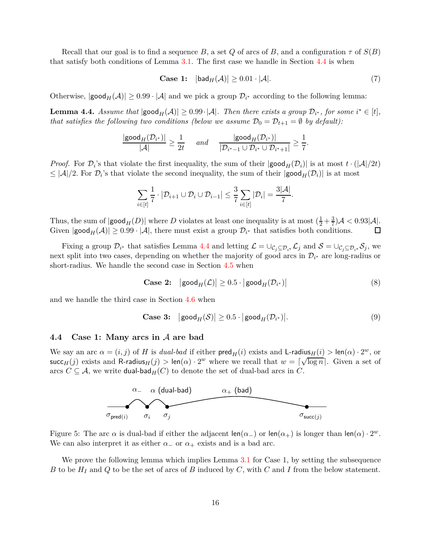Recall that our goal is to find a sequence *B*, a set *Q* of arcs of *B*, and a configuration  $\tau$  of  $S(B)$ that satisfy both conditions of Lemma [3.1.](#page-10-0) The first case we handle in Section [4.4](#page-15-0) is when

Case 1: 
$$
|\text{bad}_H(\mathcal{A})| \ge 0.01 \cdot |\mathcal{A}|.
$$
 (7)

*.*

Otherwise,  $|\textsf{good}_H(\mathcal{A})| \geq 0.99 \cdot |\mathcal{A}|$  and we pick a group  $\mathcal{D}_{i^*}$  according to the following lemma:

<span id="page-15-1"></span>**Lemma 4.4.** *Assume that*  $|$ **good** $_H(A)| \geq 0.99 \cdot |A|$ *. Then there exists a group*  $D_{i^*}$ *, for some*  $i^* \in [t]$ *, that satisfies the following two conditions (below we assume*  $\mathcal{D}_0 = \mathcal{D}_{t+1} = \emptyset$  *by default):* 

$$
\frac{|\text{good}_H(\mathcal{D}_{i^*})|}{|\mathcal{A}|} \ge \frac{1}{2t} \quad \text{and} \quad \frac{|\text{good}_H(\mathcal{D}_{i^*})|}{|\mathcal{D}_{i^*-1} \cup \mathcal{D}_{i^*} \cup \mathcal{D}_{i^*+1}|} \ge \frac{1}{7}
$$

*Proof.* For  $\mathcal{D}_i$ 's that violate the first inequality, the sum of their  $|\text{good}_H(\mathcal{D}_i)|$  is at most  $t \cdot (|\mathcal{A}|/2t)$  $\leq |\mathcal{A}|/2$ . For  $\mathcal{D}_i$ 's that violate the second inequality, the sum of their  $|\text{good}_H(\mathcal{D}_i)|$  is at most

$$
\sum_{i\in[t]} \frac{1}{7} \cdot |\mathcal{D}_{i+1} \cup \mathcal{D}_i \cup \mathcal{D}_{i-1}| \leq \frac{3}{7} \sum_{i\in[t]} |\mathcal{D}_i| = \frac{3|\mathcal{A}|}{7}.
$$

Thus, the sum of  $|\text{good}_H(D)|$  where *D* violates at least one inequality is at most  $(\frac{1}{2} + \frac{3}{7})\mathcal{A} < 0.93|\mathcal{A}|$ . Given  $|\text{good}_H(\mathcal{A})| \geq 0.99 \cdot |\mathcal{A}|$ , there must exist a group  $\mathcal{D}_{i^*}$  that satisfies both conditions.

Fixing a group  $\mathcal{D}_{i^*}$  that satisfies Lemma [4.4](#page-15-1) and letting  $\mathcal{L} = \cup_{\mathcal{C}_j \subseteq \mathcal{D}_{i^*}} \mathcal{L}_j$  and  $\mathcal{S} = \cup_{\mathcal{C}_j \subseteq \mathcal{D}_{i^*}} \mathcal{S}_j$ , we next split into two cases, depending on whether the majority of good arcs in  $\mathcal{D}_{i^*}$  are long-radius or short-radius. We handle the second case in Section [4.5](#page-16-0) when

<span id="page-15-2"></span>Case 2: 
$$
|\text{good}_H(\mathcal{L})| \geq 0.5 \cdot |\text{good}_H(\mathcal{D}_{i^*})|
$$
 (8)

and we handle the third case in Section [4.6](#page-18-0) when

<span id="page-15-3"></span>Case 3: 
$$
|\text{good}_H(\mathcal{S})| \geq 0.5 \cdot |\text{good}_H(\mathcal{D}_{i^*})|.
$$
 (9)

#### <span id="page-15-0"></span>**4.4 Case 1: Many arcs in** A **are bad**

We say an arc  $\alpha = (i, j)$  of *H* is *dual-bad* if either  $\text{pred}_{H}(i)$  exists and L-radius<sub>*H*</sub>(*i*) > len( $\alpha$ ) · 2<sup>*w*</sup>, or  $\text{succ}_{H}(j)$  exists and R-radius<sub>H</sub>(*j*) > len( $\alpha$ ) · 2<sup>*w*</sup> where we recall that  $w = \lceil \sqrt{\log n} \rceil$ . Given a set of arcs  $C \subseteq A$ , we write dual-bad<sub>*H*</sub>(*C*) to denote the set of dual-bad arcs in *C*.



Figure 5: The arc  $\alpha$  is dual-bad if either the adjacent  $\text{len}(\alpha_{-})$  or  $\text{len}(\alpha_{+})$  is longer than  $\text{len}(\alpha) \cdot 2^w$ . We can also interpret it as either  $\alpha$  or  $\alpha$ <sub>+</sub> exists and is a bad arc.

We prove the following lemma which implies Lemma [3.1](#page-10-0) for Case 1, by setting the subsequence *B* to be *H<sup>I</sup>* and *Q* to be the set of arcs of *B* induced by *C*, with *C* and *I* from the below statement.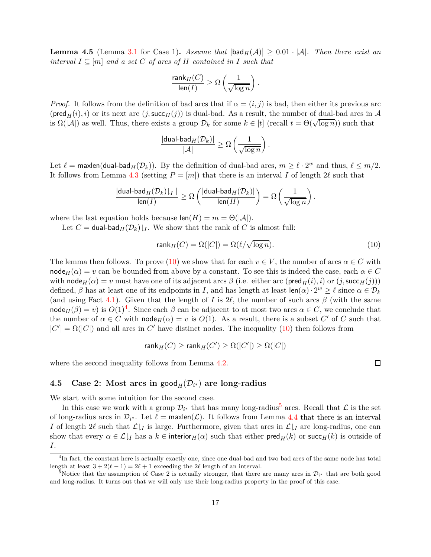**Lemma 4.5** (Lemma [3.1](#page-10-0) for Case 1). Assume that  $|\text{bad}_H(\mathcal{A})| \geq 0.01 \cdot |\mathcal{A}|$ . Then there exist an *interval*  $I ⊆ [m]$  *and a set*  $C$  *of arcs of*  $H$  *contained in*  $I$  *such that* 

$$
\frac{\mathrm{rank}_H(C)}{\mathrm{len}(I)} \geq \Omega\left(\frac{1}{\sqrt{\log n}}\right).
$$

*Proof.* It follows from the definition of bad arcs that if  $\alpha = (i, j)$  is bad, then either its previous arc  $(\text{pred}_{H}(i), i)$  or its next arc  $(j, \text{succ}_{H}(j))$  is dual-bad. As a result, the number of dual-bad arcs in A is  $\Omega(|\mathcal{A}|)$  as well. Thus, there exists a group  $\mathcal{D}_k$  for some  $k \in [t]$  (recall  $t = \Theta(\sqrt{\log n})$ ) such that

$$
\frac{|\mathsf{dual\text{-}bad}_H(\mathcal{D}_k)|}{|\mathcal{A}|} \geq \Omega\left(\frac{1}{\sqrt{\log n}}\right).
$$

Let  $\ell = \text{maxlen}(\text{dual-bad}_H(\mathcal{D}_k))$ . By the definition of dual-bad arcs,  $m \geq \ell \cdot 2^w$  and thus,  $\ell \leq m/2$ . It follows from Lemma [4.3](#page-13-2) (setting  $P = [m]$ ) that there is an interval *I* of length 2 $\ell$  such that

$$
\frac{|\mathsf{dual\text{-}bad}_{H}(\mathcal{D}_{k})|_{I}|}{\mathsf{len}(I)} \geq \Omega\left(\frac{|\mathsf{dual\text{-}bad}_{H}(\mathcal{D}_{k})|}{\mathsf{len}(H)}\right) = \Omega\left(\frac{1}{\sqrt{\log n}}\right).
$$

where the last equation holds because  $\text{len}(H) = m = \Theta(|A|)$ .

Let  $C = \text{dual-bad}_{H}(\mathcal{D}_{k})|_{I}$ . We show that the rank of *C* is almost full:

<span id="page-16-1"></span>
$$
\operatorname{rank}_{H}(C) = \Omega(|C|) = \Omega(\ell/\sqrt{\log n}).\tag{10}
$$

The lemma then follows. To prove [\(10\)](#page-16-1) we show that for each  $v \in V$ , the number of arcs  $\alpha \in C$  with node<sub>H</sub>( $\alpha$ ) = *v* can be bounded from above by a constant. To see this is indeed the case, each  $\alpha \in C$ with  $\text{node}_H(\alpha) = v$  must have one of its adjacent arcs  $\beta$  (i.e. either arc ( $\text{pred}_H(i), i$ ) or (*j*, succ $H(j)$ )) defined,  $\beta$  has at least one of its endpoints in *I*, and has length at least  $\text{len}(\alpha) \cdot 2^w \ge \ell$  since  $\alpha \in \mathcal{D}_k$ (and using Fact [4.1\)](#page-14-2). Given that the length of *I* is 2 $\ell$ , the number of such arcs  $\beta$  (with the same node<sub>*H*</sub>( $\beta$ ) = *v*) is  $O(1)^4$  $O(1)^4$ . Since each  $\beta$  can be adjacent to at most two arcs  $\alpha \in C$ , we conclude that the number of  $\alpha \in C$  with node  $H(\alpha) = v$  is  $O(1)$ . As a result, there is a subset  $C'$  of  $C$  such that  $|C'| = \Omega(|C|)$  and all arcs in  $C'$  have distinct nodes. The inequality [\(10\)](#page-16-1) then follows from

$$
\mathsf{rank}_H(C) \ge \mathsf{rank}_H(C') \ge \Omega(|C'|) \ge \Omega(|C|)
$$

where the second inequality follows from Lemma  $4.2$ .

<span id="page-16-0"></span>**4.5** Case 2: Most arcs in good $_H(\mathcal{D}_{i^*})$  are long-radius

We start with some intuition for the second case.

In this case we work with a group  $\mathcal{D}_{i^*}$  that has many long-radius<sup>[5](#page-16-3)</sup> arcs. Recall that  $\mathcal L$  is the set of long-radius arcs in  $\mathcal{D}_{i^*}$ . Let  $\ell = \text{maxlen}(\mathcal{L})$ . It follows from Lemma [4.4](#page-15-1) that there is an interval *I* of length 2 $\ell$  such that  $\mathcal{L}|_I$  is large. Furthermore, given that arcs in  $\mathcal{L}|_I$  are long-radius, one can show that every  $\alpha \in \mathcal{L}|_I$  has a  $k \in \text{interior}_H(\alpha)$  such that either  $\text{pred}_H(k)$  or  $\text{succ}_H(k)$  is outside of *I*.

 $\Box$ 

<span id="page-16-2"></span><sup>&</sup>lt;sup>4</sup>In fact, the constant here is actually exactly one, since one dual-bad and two bad arcs of the same node has total length at least  $3 + 2(\ell - 1) = 2\ell + 1$  exceeding the  $2\ell$  length of an interval.

<span id="page-16-3"></span><sup>&</sup>lt;sup>5</sup>Notice that the assumption of Case 2 is actually stronger, that there are many arcs in  $\mathcal{D}_{i^*}$  that are both good and long-radius. It turns out that we will only use their long-radius property in the proof of this case.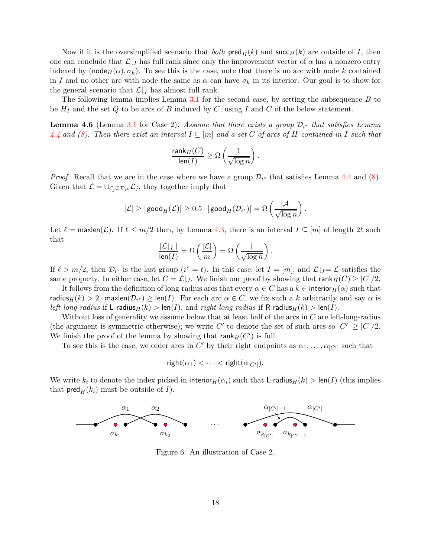Now if it is the oversimplified scenario that *both*  $\text{pred}_{H}(k)$  and  $\text{succ}_{H}(k)$  are outside of *I*, then one can conclude that  $\mathcal{L}|_I$  has full rank since only the improvement vector of  $\alpha$  has a nonzero entry indexed by ( $\mathsf{node}_H(\alpha), \sigma_k$ ). To see this is the case, note that there is no arc with node *k* contained in *I* and no other arc with node the same as  $\alpha$  can have  $\sigma_k$  in its interior. Our goal is to show for the general scenario that  $\mathcal{L}|_I$  has almost full rank.

The following lemma implies Lemma [3.1](#page-10-0) for the second case, by setting the subsequence *B* to be  $H_I$  and the set  $Q$  to be arcs of  $B$  induced by  $C$ , using  $I$  and  $C$  of the below statement.

**Lemma 4.6** (Lemma [3.1](#page-10-0) for Case 2). Assume that there exists a group  $\mathcal{D}_{i^*}$  that satisfies Lemma  $4.4$  and  $(8)$ . Then there exist an interval  $I \subseteq [m]$  and a set C of arcs of H contained in I such that

$$
\frac{\mathrm{rank}_H(C)}{\mathrm{len}(I)} \geq \Omega\left(\frac{1}{\sqrt{\log n}}\right).
$$

*Proof.* Recall that we are in the case where we have a group  $\mathcal{D}_{i^*}$  that satisfies Lemma [4.4](#page-15-1) and [\(8\)](#page-15-2). Given that  $\mathcal{L} = \bigcup_{\mathcal{C}_j \subseteq \mathcal{D}_{i^*}} \mathcal{L}_j$ , they together imply that

$$
|\mathcal{L}| \geq |\mathsf{good}_{H}(\mathcal{L})| \geq 0.5 \cdot |\mathsf{good}_{H}(\mathcal{D}_{i^*})| = \Omega\left(\frac{|\mathcal{A}|}{\sqrt{\log n}}\right).
$$

Let  $\ell = \text{maxlen}(\mathcal{L})$ . If  $\ell \leq m/2$  then, by Lemma [4.3,](#page-13-2) there is an interval  $I \subseteq [m]$  of length  $2\ell$  such that

$$
\frac{|\mathcal{L}|_I|}{\text{len}(I)} = \Omega\left(\frac{|\mathcal{L}|}{m}\right) = \Omega\left(\frac{1}{\sqrt{\log n}}\right).
$$

If  $\ell > m/2$ , then  $\mathcal{D}_{i^*}$  is the last group  $(i^* = t)$ . In this case, let  $I = [m]$ , and  $\mathcal{L}|_{I} = \mathcal{L}$  satisfies the same property. In either case, let  $C = \mathcal{L}|_I$ . We finish our proof by showing that rank $_H(C) \ge |C|/2$ .

It follows from the definition of long-radius arcs that every  $\alpha \in C$  has a  $k \in$  interior<sub>H</sub>( $\alpha$ ) such that  $r$ **adius**<sub> $H$ </sub>( $k$ ) > 2 · **maxlen**( $\mathcal{D}_{i^{*}}$ )  $\geq$  len(*I*). For each arc  $\alpha \in C$ , we fix such a *k* arbitrarily and say  $\alpha$  is *left-long-radius* if  $\textsf{L-radius}_{H}(k) > \textsf{len}(I)$ , and *right-long-radius* if  $\textsf{R-radius}_{H}(k) > \textsf{len}(I)$ .

Without loss of generality we assume below that at least half of the arcs in *C* are left-long-radius (the argument is symmetric otherwise); we write  $C'$  to denote the set of such arcs so  $|C'| \geq |C|/2$ . We finish the proof of the lemma by showing that  $\mathsf{rank}_H(C')$  is full.

To see this is the case, we order arcs in  $C'$  by their right endpoints as  $\alpha_1, \ldots, \alpha_{|C'|}$  such that

$$
right(\alpha_1) < \cdots < right(\alpha_{|C'|}).
$$

We write  $k_i$  to denote the index picked in interior  $H(\alpha_i)$  such that L-radius $H(k) > \text{len}(I)$  (this implies that  $\textsf{pred}_{H}(k_i)$  must be outside of *I*).



Figure 6: An illustration of Case 2.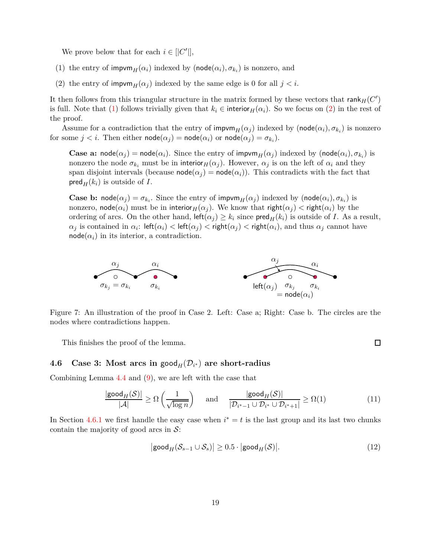<span id="page-18-1"></span>We prove below that for each  $i \in [[C']],$ 

- <span id="page-18-2"></span>(1) the entry of impvm<sub>*H*</sub>( $\alpha_i$ ) indexed by (node( $\alpha_i$ ),  $\sigma_{k_i}$ ) is nonzero, and
- (2) the entry of  $\mathsf{impvm}_H(\alpha_j)$  indexed by the same edge is 0 for all  $j < i$ .

It then follows from this triangular structure in the matrix formed by these vectors that  $\text{rank}_{H}(C')$ is full. Note that [\(1\)](#page-18-1) follows trivially given that  $k_i \in$  interior<sub>H</sub>( $\alpha_i$ ). So we focus on [\(2\)](#page-18-2) in the rest of the proof.

Assume for a contradiction that the entry of  $impvm<sub>H</sub>(\alpha_j)$  indexed by  $(node(\alpha_i), \sigma_{k_i})$  is nonzero for some  $j < i$ . Then either  $\textsf{node}(\alpha_j) = \textsf{node}(\alpha_i)$  or  $\textsf{node}(\alpha_j) = \sigma_{k_i}$ ).

**Case a:** node( $\alpha_j$ ) = node( $\alpha_i$ ). Since the entry of impvm<sub>*H*</sub>( $\alpha_j$ ) indexed by (node( $\alpha_i$ )*,*  $\sigma_{k_i}$ ) is nonzero the node  $\sigma_{k_i}$  must be in interior<sub>*H*</sub>( $\alpha_j$ ). However,  $\alpha_j$  is on the left of  $\alpha_i$  and they span disjoint intervals (because  $\text{node}(\alpha_i) = \text{node}(\alpha_i)$ ). This contradicts with the fact that  $\mathsf{pred}_{H}(k_i)$  is outside of *I*.

**Case b:** node $(\alpha_j) = \sigma_{k_i}$ . Since the entry of impvm<sub>*H*</sub>( $\alpha_j$ ) indexed by (node $(\alpha_i)$ ,  $\sigma_{k_i}$ ) is nonzero, node $(\alpha_i)$  must be in interior<sub>*H*</sub>( $\alpha_j$ ). We know that right( $\alpha_j$ )  $\lt$  right( $\alpha_i$ ) by the ordering of arcs. On the other hand,  $\text{left}(\alpha_j) \geq k_i$  since  $\text{pred}_H(k_i)$  is outside of *I*. As a result,  $\alpha_j$  is contained in  $\alpha_i$ : left $(\alpha_i) <$  left $(\alpha_j) <$  right $(\alpha_j) <$  right $(\alpha_i)$ , and thus  $\alpha_j$  cannot have  $node(\alpha_i)$  in its interior, a contradiction.



Figure 7: An illustration of the proof in Case 2. Left: Case a; Right: Case b. The circles are the nodes where contradictions happen.

This finishes the proof of the lemma.

# <span id="page-18-0"></span>**4.6** Case 3: Most arcs in  $\text{good}_{H}(\mathcal{D}_{i^{*}})$  are short-radius

Combining Lemma  $4.4$  and  $(9)$ , we are left with the case that

<span id="page-18-4"></span>
$$
\frac{|\text{good}_H(\mathcal{S})|}{|\mathcal{A}|} \ge \Omega\left(\frac{1}{\sqrt{\log n}}\right) \quad \text{and} \quad \frac{|\text{good}_H(\mathcal{S})|}{|\mathcal{D}_{i^*-1} \cup \mathcal{D}_{i^*} \cup \mathcal{D}_{i^*+1}|} \ge \Omega(1) \tag{11}
$$

In Section [4.6.1](#page-19-0) we first handle the easy case when  $i^* = t$  is the last group and its last two chunks contain the majority of good arcs in  $S$ :

<span id="page-18-3"></span>
$$
|\text{good}_H(\mathcal{S}_{s-1}\cup\mathcal{S}_s)|\geq 0.5\cdot|\text{good}_H(\mathcal{S})|.\tag{12}
$$

 $\Box$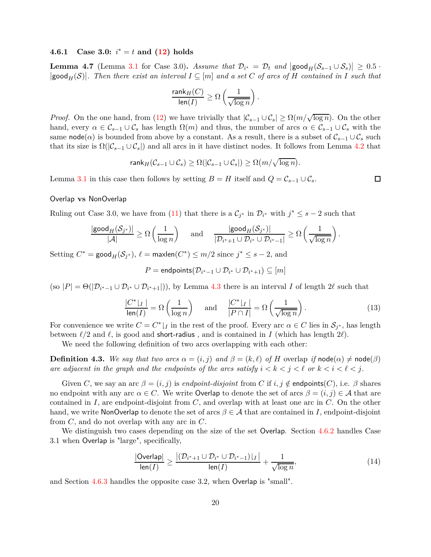### <span id="page-19-0"></span> $4.6.1$   $\text{Case 3.0: } i^* = t \text{ and } (\textbf{12}) \text{ holds}$

**Lemma 4.7** (Lemma [3.1](#page-10-0) for Case 3.0). *Assume that*  $\mathcal{D}_{i^*} = \mathcal{D}_t$  and  $|\text{good}_H(\mathcal{S}_{s-1} \cup \mathcal{S}_s)| \geq 0.5$ .  $| \text{good}_H(\mathcal{S}) |$ . Then there exist an interval  $I \subseteq [m]$  and a set C of arcs of H contained in I such that

$$
\frac{\operatorname{rank}_{H}(C)}{\operatorname{len}(I)} \ge \Omega\left(\frac{1}{\sqrt{\log n}}\right).
$$

*Proof.* On the one hand, from [\(12\)](#page-18-3) we have trivially that  $|\mathcal{C}_{s-1} \cup \mathcal{C}_s| \ge \Omega(m/\sqrt{\log n})$ . On the other hand, every  $\alpha \in \mathcal{C}_{s-1} \cup \mathcal{C}_s$  has length  $\Omega(m)$  and thus, the number of arcs  $\alpha \in \mathcal{C}_{s-1} \cup \mathcal{C}_s$  with the same node( $\alpha$ ) is bounded from above by a constant. As a result, there is a subset of  $\mathcal{C}_{s-1} \cup \mathcal{C}_s$  such that its size is  $\Omega(|\mathcal{C}_{s-1} \cup \mathcal{C}_s|)$  and all arcs in it have distinct nodes. It follows from Lemma [4.2](#page-13-0) that

$$
\text{rank}_H(\mathcal{C}_{s-1}\cup \mathcal{C}_s)\geq \Omega(|\mathcal{C}_{s-1}\cup \mathcal{C}_s|)\geq \Omega(m/\sqrt{\log n}).
$$

Lemma [3.1](#page-10-0) in this case then follows by setting  $B = H$  itself and  $Q = C_{s-1} \cup C_s$ .

### Overlap **vs** NonOverlap

Ruling out Case 3.0, we have from [\(11\)](#page-18-4) that there is a  $\mathcal{C}_{j^*}$  in  $\mathcal{D}_{i^*}$  with  $j^* \leq s - 2$  such that

$$
\frac{|\text{good}_H(\mathcal{S}_{j^*})|}{|\mathcal{A}|} \geq \Omega\left(\frac{1}{\log n}\right) \quad \text{ and } \quad \frac{|\text{good}_H(\mathcal{S}_{j^*})|}{|\mathcal{D}_{i^*+1} \cup \mathcal{D}_{i^*} \cup \mathcal{D}_{i^*-1}|} \geq \Omega\left(\frac{1}{\sqrt{\log n}}\right).
$$

Setting  $C^* = \text{\sf good}_H(\mathcal{S}_{j^*}), \ell = \text{\sf maxlen}(C^*) \leq m/2$  since  $j^* \leq s - 2$ , and

$$
P = \mathsf{endpoints}(\mathcal{D}_{i^*-1} \cup \mathcal{D}_{i^*} \cup \mathcal{D}_{i^*+1}) \subseteq [m]
$$

 $(\text{so } |P| = \Theta(|\mathcal{D}_{i^*-1} \cup \mathcal{D}_{i^*} \cup \mathcal{D}_{i^*+1}|)),$  by Lemma [4.3](#page-13-2) there is an interval *I* of length 2 $\ell$  such that

<span id="page-19-2"></span>
$$
\frac{|C^*|_I|}{\text{len}(I)} = \Omega\left(\frac{1}{\log n}\right) \quad \text{and} \quad \frac{|C^*|_I|}{|P \cap I|} = \Omega\left(\frac{1}{\sqrt{\log n}}\right). \tag{13}
$$

For convenience we write  $C = C^* \downharpoonright I$  in the rest of the proof. Every arc  $\alpha \in C$  lies in  $S_{j^*}$ , has length between  $\ell/2$  and  $\ell$ , is good and short-radius, and is contained in *I* (which has length  $2\ell$ ).

We need the following definition of two arcs overlapping with each other:

**Definition 4.3.** We say that two arcs  $\alpha = (i, j)$  and  $\beta = (k, \ell)$  of H overlap *if* node( $\alpha$ )  $\neq$  node( $\beta$ ) *are adjacent in the graph and the endpoints of the arcs satisfy*  $i < k < j < \ell$  or  $k < i < \ell < j$ .

Given *C*, we say an arc  $\beta = (i, j)$  is *endpoint-disjoint* from *C* if  $i, j \notin \text{endpoints}(C)$ , i.e.  $\beta$  shares no endpoint with any arc  $\alpha \in C$ . We write Overlap to denote the set of arcs  $\beta = (i, j) \in A$  that are contained in *I*, are endpoint-disjoint from *C*, and overlap with at least one arc in *C*. On the other hand, we write NonOverlap to denote the set of arcs  $\beta \in \mathcal{A}$  that are contained in *I*, endpoint-disjoint from *C*, and do not overlap with any arc in *C*.

We distinguish two cases depending on the size of the set Overlap. Section [4.6.2](#page-20-0) handles Case 3.1 when Overlap is "large", specifically,

<span id="page-19-1"></span>
$$
\frac{|\text{Overallap}|}{\text{len}(I)} \ge \frac{\left| (\mathcal{D}_{i^*+1} \cup \mathcal{D}_{i^*} \cup \mathcal{D}_{i^*-1}) \right|_I \right|}{\text{len}(I)} + \frac{1}{\sqrt{\log n}},\tag{14}
$$

and Section [4.6.3](#page-22-0) handles the opposite case 3.2, when Overlap is "small".

 $\Box$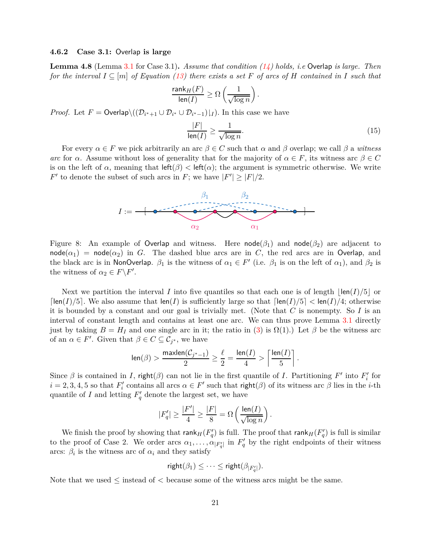#### <span id="page-20-0"></span>**4.6.2 Case 3.1:** Overlap **is large**

**Lemma 4.8** (Lemma [3.1](#page-10-0) for Case 3.1)**.** *Assume that condition [\(14\)](#page-19-1) holds, i.e* Overlap *is large. Then for the interval*  $I \subseteq [m]$  *of Equation [\(13\)](#page-19-2) there exists a set*  $F$  *of arcs of*  $H$  *contained in*  $I$  *such that* 

$$
\frac{\operatorname{rank}_{H}(F)}{\operatorname{len}(I)} \geq \Omega\left(\frac{1}{\sqrt{\log n}}\right).
$$

*Proof.* Let  $F = \text{Overlap}\setminus((\mathcal{D}_{i^*+1} \cup \mathcal{D}_{i^*} \cup \mathcal{D}_{i^*-1})|_I)$ . In this case we have

$$
\frac{|F|}{\text{len}(I)} \ge \frac{1}{\sqrt{\log n}}.\tag{15}
$$

For every  $\alpha \in F$  we pick arbitrarily an arc  $\beta \in C$  such that  $\alpha$  and  $\beta$  overlap; we call  $\beta$  a *witness arc* for *α*. Assume without loss of generality that for the majority of  $\alpha \in F$ , its witness arc  $\beta \in C$ is on the left of  $\alpha$ , meaning that  $\text{left}(\beta) < \text{left}(\alpha)$ ; the argument is symmetric otherwise. We write  $F'$  to denote the subset of such arcs in  $F$ ; we have  $|F'| \ge |F|/2$ .



Figure 8: An example of Overlap and witness. Here  $\text{node}(\beta_1)$  and  $\text{node}(\beta_2)$  are adjacent to  $\text{node}(\alpha_1) = \text{node}(\alpha_2)$  in *G*. The dashed blue arcs are in *C*, the red arcs are in Overlap, and the black arc is in NonOverlap.  $\beta_1$  is the witness of  $\alpha_1 \in F'$  (i.e.  $\beta_1$  is on the left of  $\alpha_1$ ), and  $\beta_2$  is the witness of  $\alpha_2 \in F \backslash F'$ .

Next we partition the interval *I* into five quantiles so that each one is of length  $|\text{len}(I)/5|$  or  $\lceil \text{len}(I)/5 \rceil$ . We also assume that  $\text{len}(I)$  is sufficiently large so that  $\lceil \text{len}(I)/5 \rceil < \text{len}(I)/4$ ; otherwise it is bounded by a constant and our goal is trivially met. (Note that *C* is nonempty. So *I* is an interval of constant length and contains at least one arc. We can thus prove Lemma [3.1](#page-10-0) directly just by taking  $B = H_I$  and one single arc in it; the ratio in [\(3\)](#page-10-2) is  $\Omega(1)$ .) Let  $\beta$  be the witness arc of an  $\alpha \in F'$ . Given that  $\beta \in C \subseteq C_{j^*}$ , we have

$$
\text{len}(\beta) > \frac{\text{maxlen}(\mathcal{C}_{j^*-1})}{2} \geq \frac{\ell}{2} = \frac{\text{len}(I)}{4} > \left\lceil \frac{\text{len}(I)}{5} \right\rceil.
$$

Since  $\beta$  is contained in *I*, right( $\beta$ ) can not lie in the first quantile of *I*. Partitioning *F*' into  $F'_i$  for  $i = 2, 3, 4, 5$  so that  $F_i'$  contains all arcs  $\alpha \in F'$  such that right(*β*) of its witness arc  $\beta$  lies in the *i*-th quantile of *I* and letting  $F'_{q}$  denote the largest set, we have

$$
|F'_q|\geq \frac{|F'|}{4}\geq \frac{|F|}{8}=\Omega\left(\frac{\operatorname{len}(I)}{\sqrt{\log n}}\right).
$$

We finish the proof by showing that  $\mathsf{rank}_H(F'_q)$  is full. The proof that  $\mathsf{rank}_H(F'_q)$  is full is similar to the proof of Case 2. We order arcs  $\alpha_1, \ldots, \alpha_{|F'_q|}$  in  $F'_q$  by the right endpoints of their witness arcs:  $\beta_i$  is the witness arc of  $\alpha_i$  and they satisfy

$$
right(\beta_1) \leq \cdots \leq right(\beta_{|F'_q|}).
$$

Note that we used  $\leq$  instead of  $\lt$  because some of the witness arcs might be the same.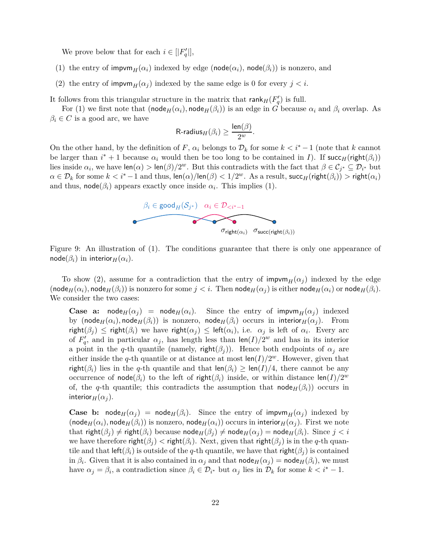We prove below that for each  $i \in [F'_q]$ ,

- (1) the entry of impvm<sub>H</sub>( $\alpha_i$ ) indexed by edge (node( $\alpha_i$ ), node( $\beta_i$ )) is nonzero, and
- (2) the entry of  $\mathsf{impvm}_H(\alpha_i)$  indexed by the same edge is 0 for every  $j < i$ .

It follows from this triangular structure in the matrix that  $\text{rank}_H(F'_q)$  is full.

For (1) we first note that  $(\text{node}_H(\alpha_i), \text{node}_H(\beta_i))$  is an edge in *G* because  $\alpha_i$  and  $\beta_i$  overlap. As  $\beta_i \in C$  is a good arc, we have

$$
\mathsf{R\text{-}radius}_{H}(\beta_i) \geq \frac{\mathsf{len}(\beta)}{2^w}.
$$

On the other hand, by the definition of *F*,  $\alpha_i$  belongs to  $\mathcal{D}_k$  for some  $k < i^* - 1$  (note that *k* cannot be larger than  $i^* + 1$  because  $\alpha_i$  would then be too long to be contained in *I*). If succ<sub>*H*</sub>(right( $\beta_i$ )) lies inside  $\alpha_i$ , we have  $\text{len}(\alpha) > \text{len}(\beta)/2^w$ . But this contradicts with the fact that  $\beta \in C_{j^*} \subseteq \mathcal{D}_{i^*}$  but  $\alpha \in \mathcal{D}_k$  for some  $k < i^* - 1$  and thus,  $\text{len}(\alpha) / \text{len}(\beta) < 1/2^w$ . As a result,  $\text{succ}_H(\text{right}(\beta_i)) > \text{right}(\alpha_i)$ and thus,  $\text{node}(\beta_i)$  appears exactly once inside  $\alpha_i$ . This implies (1).



Figure 9: An illustration of (1). The conditions guarantee that there is only one appearance of  $node(\beta_i)$  in interior $H(\alpha_i)$ .

To show (2), assume for a contradiction that the entry of  $\lim_{H}(\alpha_i)$  indexed by the edge  $j < i$ . Then node $H(\alpha_i)$ , node $H(\beta_i)$  is nonzero for some  $j < i$ . Then node $H(\alpha_j)$  is either node $H(\alpha_i)$  or node $H(\beta_i)$ . We consider the two cases:

**Case a:** node $H(\alpha_i)$  = node $H(\alpha_i)$ . Since the entry of impvm $H(\alpha_i)$  indexed by (node<sub>H</sub>( $\alpha$ <sup>*i*</sup>)</sub>, node<sub>H</sub>( $\beta$ <sup>*i*</sup>)) is nonzero, node<sub>H</sub>( $\beta$ <sup>*i*</sup>) occurs in interior<sub>H</sub>( $\alpha$ <sup>*i*</sup>). From  $\text{right}(\beta_j) \leq \text{right}(\beta_i)$  we have  $\text{right}(\alpha_j) \leq \text{left}(\alpha_i)$ , i.e.  $\alpha_j$  is left of  $\alpha_i$ . Every arc of  $F'_{q}$ , and in particular  $\alpha_j$ , has length less than  $\text{len}(I)/2^w$  and has in its interior a point in the *q*-th quantile (namely, right( $\beta$ <sup>*j*</sup>)). Hence both endpoints of  $\alpha$ <sup>*j*</sup> are either inside the *q*-th quantile or at distance at most  $\text{len}(I)/2^w$ . However, given that right( $\beta$ <sup>*i*</sup>) lies in the *q*-th quantile and that len( $\beta$ <sup>*i*</sup>)  $\geq$  len(*I*)/4, there cannot be any occurrence of  $\mathsf{node}(\beta_i)$  to the left of right( $\beta_i$ ) inside, or within distance len(*I*)/2<sup>*w*</sup> of, the *q*-th quantile; this contradicts the assumption that  $\text{node}_H(\beta_i)$  occurs in interior $H(\alpha_i)$ .

**Case b:** node $H(\alpha_j)$  = node $H(\beta_i)$ . Since the entry of impvm $H(\alpha_j)$  indexed by  $(\text{node}_H(\alpha_i), \text{node}_H(\beta_i))$  is nonzero,  $\text{node}_H(\alpha_i))$  occurs in interior<sub>H</sub> $(\alpha_i)$ . First we note that right( $\beta$ <sup>*j*</sup>)  $\neq$  right( $\beta$ <sup>*i*</sup>) because node<sub>*H*</sub>( $\beta$ <sup>*i*</sup>)  $\neq$  node<sub>*H*</sub>( $\alpha$ <sup>*i*</sup>) = node<sub>*H*</sub>( $\beta$ <sup>*i*</sup>). Since *j* < *i* we have therefore  $\text{right}(\beta_i) < \text{right}(\beta_i)$ . Next, given that  $\text{right}(\beta_i)$  is in the *q*-th quantile and that  $\text{left}(\beta_i)$  is outside of the *q*-th quantile, we have that right( $\beta_i$ ) is contained in  $\beta_i$ . Given that it is also contained in  $\alpha_j$  and that  $\textsf{node}_H(\alpha_j) = \textsf{node}_H(\beta_i)$ , we must have  $\alpha_j = \beta_i$ , a contradiction since  $\beta_i \in \mathcal{D}_{i^*}$  but  $\alpha_j$  lies in  $\mathcal{D}_k$  for some  $k < i^* - 1$ .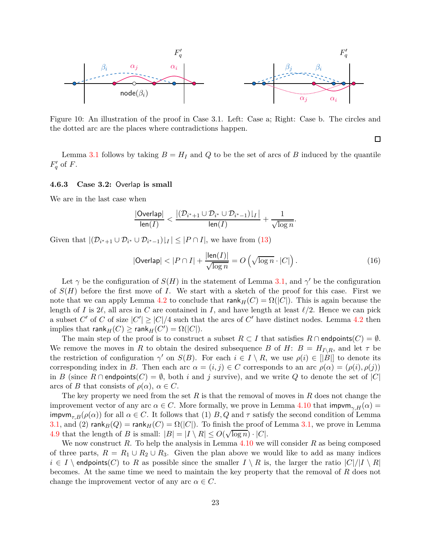

Figure 10: An illustration of the proof in Case 3.1. Left: Case a; Right: Case b. The circles and the dotted arc are the places where contradictions happen.

 $\Box$ 

Lemma [3.1](#page-10-0) follows by taking  $B = H_I$  and  $Q$  to be the set of arcs of  $B$  induced by the quantile  $F_q'$  of *F*.

### <span id="page-22-0"></span>**4.6.3 Case 3.2:** Overlap **is small**

We are in the last case when

$$
\frac{|\text{Overallap}|}{\text{len}(I)} < \frac{\left|(\mathcal{D}_{i^*+1} \cup \mathcal{D}_{i^*} \cup \mathcal{D}_{i^*-1})\right|_I|}{\text{len}(I)} + \frac{1}{\sqrt{\log n}}.
$$

Given that  $|(\mathcal{D}_{i^*+1} \cup \mathcal{D}_{i^*} \cup \mathcal{D}_{i^*-1})|_I| \leq |P \cap I|$ , we have from [\(13\)](#page-19-2)

<span id="page-22-1"></span>
$$
|\text{Overallap}| < |P \cap I| + \frac{|\text{len}(I)|}{\sqrt{\log n}} = O\left(\sqrt{\log n} \cdot |C|\right). \tag{16}
$$

Let  $\gamma$  be the configuration of  $S(H)$  in the statement of Lemma [3.1,](#page-10-0) and  $\gamma'$  be the configuration of *S*(*H*) before the first move of *I*. We start with a sketch of the proof for this case. First we note that we can apply Lemma [4.2](#page-13-0) to conclude that  $\text{rank}_{H}(C) = \Omega(|C|)$ . This is again because the length of *I* is  $2\ell$ , all arcs in *C* are contained in *I*, and have length at least  $\ell/2$ . Hence we can pick a subset *C*' of *C* of size  $|C'| \ge |C|/4$  such that the arcs of *C*' have distinct nodes. Lemma [4.2](#page-13-0) then implies that  $\mathsf{rank}_H(C) \geq \mathsf{rank}_H(C') = \Omega(|C|).$ 

The main step of the proof is to construct a subset  $R \subset I$  that satisfies  $R \cap$  endpoints( $C$ ) =  $\emptyset$ . We remove the moves in *R* to obtain the desired subsequence *B* of *H*:  $B = H_{I \setminus R}$ , and let  $\tau$  be the restriction of configuration *γ*' on *S*(*B*). For each  $i \in I \setminus R$ , we use  $\rho(i) \in [|B|]$  to denote its corresponding index in *B*. Then each arc  $\alpha = (i, j) \in C$  corresponds to an arc  $\rho(\alpha) = (\rho(i), \rho(j))$ in *B* (since  $R \cap$  endpoints $(C) = \emptyset$ , both *i* and *j* survive), and we write *Q* to denote the set of  $|C|$ arcs of *B* that consists of  $\rho(\alpha)$ ,  $\alpha \in C$ .

The key property we need from the set *R* is that the removal of moves in *R* does not change the improvement vector of any arc  $\alpha \in C$ . More formally, we prove in Lemma [4.10](#page-24-0) that impvm<sub> $\gamma$ H</sub>( $\alpha$ ) = impvm<sub> $\tau,B(\rho(\alpha))$ </sub> for all  $\alpha \in C$ . It follows that (1)  $B,Q$  and  $\tau$  satisfy the second condition of Lemma [3.1,](#page-10-0) and (2)  $\text{rank}_B(Q) = \text{rank}_H(C) = \Omega(|C|)$ . To finish the proof of Lemma 3.1, we prove in Lemma [4.9](#page-24-1) that the length of *B* is small:  $|B| = |I \setminus R| \leq O(\sqrt{\log n}) \cdot |C|$ .

We now construct *R*. To help the analysis in Lemma [4.10](#page-24-0) we will consider *R* as being composed of three parts,  $R = R_1 \cup R_2 \cup R_3$ . Given the plan above we would like to add as many indices  $i \in I \setminus \text{endpoints}(C)$  to *R* as possible since the smaller  $I \setminus R$  is, the larger the ratio  $|C|/|I \setminus R|$ becomes. At the same time we need to maintain the key property that the removal of *R* does not change the improvement vector of any arc  $\alpha \in C$ .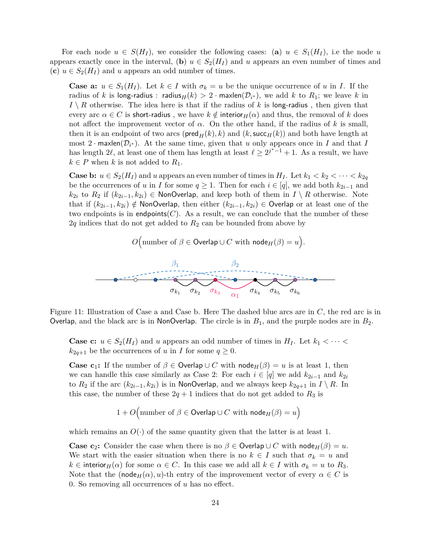For each node  $u \in S(H_I)$ , we consider the following cases: (a)  $u \in S_I(H_I)$ , i.e the node *u* appears exactly once in the interval, (**b**)  $u \in S_2(H_I)$  and *u* appears an even number of times and (c)  $u \in S_2(H_I)$  and *u* appears an odd number of times.

**Case a:**  $u \in S_1(H_I)$ . Let  $k \in I$  with  $\sigma_k = u$  be the unique occurrence of *u* in *I*. If the radius of *k* is long-radius : radius $H(k) > 2 \cdot \text{maxlen}(\mathcal{D}_{i^*})$ , we add *k* to  $R_1$ ; we leave *k* in  $I \setminus R$  otherwise. The idea here is that if the radius of k is long-radius, then given that every arc  $\alpha \in C$  is short-radius, we have  $k \notin \text{interior}_H(\alpha)$  and thus, the removal of k does not affect the improvement vector of  $\alpha$ . On the other hand, if the radius of k is small, then it is an endpoint of two arcs ( $\text{pred}_{H}(k)$ , k) and  $(k, \text{succ}_{H}(k))$  and both have length at most 2 · maxlen( $\mathcal{D}_{i^*}$ ). At the same time, given that *u* only appears once in *I* and that *I* has length 2 $\ell$ , at least one of them has length at least  $\ell \geq 2^{j^*-1}+1$ . As a result, we have  $k \in P$  when *k* is not added to  $R_1$ .

**Case b:**  $u \in S_2(H_I)$  and  $u$  appears an even number of times in  $H_I$ . Let  $k_1 < k_2 < \cdots < k_{2q}$ be the occurrences of *u* in *I* for some  $q \geq 1$ . Then for each  $i \in [q]$ , we add both  $k_{2i-1}$  and *k*<sub>2*i*</sub> to *R*<sub>2</sub> if (*k*<sub>2*i*−1</sub>*, k*<sub>2*i*</sub>) ∈ NonOverlap, and keep both of them in *I* \ *R* otherwise. Note that if  $(k_{2i-1}, k_{2i})$  ∉ NonOverlap, then either  $(k_{2i-1}, k_{2i})$  ∈ Overlap or at least one of the two endpoints is in endpoints $(C)$ . As a result, we can conclude that the number of these 2*q* indices that do not get added to *R*<sup>2</sup> can be bounded from above by



Figure 11: Illustration of Case a and Case b. Here The dashed blue arcs are in *C*, the red arc is in Overlap, and the black arc is in NonOverlap. The circle is in *B*1, and the purple nodes are in *B*2.

**Case c:**  $u \in S_2(H_I)$  and  $u$  appears an odd number of times in  $H_I$ . Let  $k_1 < \cdots <$  $k_{2q+1}$  be the occurrences of *u* in *I* for some  $q \geq 0$ .

**Case c**<sub>1</sub>: If the number of  $\beta \in \mathsf{Overall} \cup C$  with node  $H(\beta) = u$  is at least 1, then we can handle this case similarly as Case 2: For each  $i \in [q]$  we add  $k_{2i-1}$  and  $k_{2i}$ to  $R_2$  if the arc  $(k_{2i-1}, k_{2i})$  is in NonOverlap, and we always keep  $k_{2q+1}$  in  $I \setminus R$ . In this case, the number of these  $2q + 1$  indices that do not get added to  $R_3$  is

$$
1 + O\Big(\text{number of }\beta \in \mathsf{Overlap}\cup C \text{ with } \mathsf{node}_H(\beta) = u\Big)
$$

which remains an  $O(\cdot)$  of the same quantity given that the latter is at least 1.

**Case c**<sub>2</sub>: Consider the case when there is no  $\beta \in \text{Overall} \cup C$  with node  $H(\beta) = u$ . We start with the easier situation when there is no  $k \in I$  such that  $\sigma_k = u$  and  $k \in \text{interior}_H(\alpha)$  for some  $\alpha \in C$ . In this case we add all  $k \in I$  with  $\sigma_k = u$  to  $R_3$ . Note that the  $(node_H(\alpha), u)$ -th entry of the improvement vector of every  $\alpha \in C$  is 0. So removing all occurrences of *u* has no effect.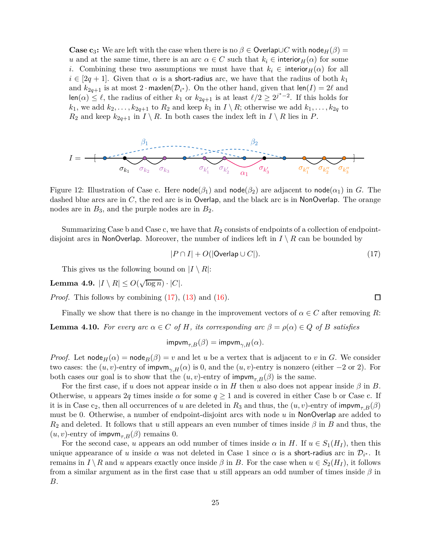**Case c**<sub>3</sub>: We are left with the case when there is no  $\beta \in \text{Overall} \cup C$  with node  $H(\beta) =$ *u* and at the same time, there is an arc  $\alpha \in C$  such that  $k_i \in \text{interior}_H(\alpha)$  for some *i*. Combining these two assumptions we must have that  $k_i \in \text{interior}_H(\alpha)$  for all  $i \in [2q + 1]$ . Given that  $\alpha$  is a short-radius arc, we have that the radius of both  $k_1$ and  $k_{2q+1}$  is at most  $2 \cdot \textsf{maxlen}(\mathcal{D}_{i^*})$ . On the other hand, given that  $\textsf{len}(I) = 2\ell$  and  $\text{len}(\alpha) \leq \ell$ , the radius of either  $k_1$  or  $k_{2q+1}$  is at least  $\ell/2 \geq 2^{j^*-2}$ . If this holds for *k*<sub>1</sub>, we add *k*<sub>2</sub>*,...*, *k*<sub>2*q*+1</sub> to *R*<sub>2</sub> and keep *k*<sub>1</sub> in *I* \ *R*; otherwise we add *k*<sub>1</sub>*,...*, *k*<sub>2*q*</sub> to  $R_2$  and keep  $k_{2q+1}$  in  $I \setminus R$ . In both cases the index left in  $I \setminus R$  lies in *P*.



Figure 12: Illustration of Case c. Here  $\text{node}(\beta_1)$  and  $\text{node}(\beta_2)$  are adjacent to  $\text{node}(\alpha_1)$  in *G*. The dashed blue arcs are in *C*, the red arc is in Overlap, and the black arc is in NonOverlap. The orange nodes are in  $B_3$ , and the purple nodes are in  $B_2$ .

Summarizing Case b and Case c, we have that  $R_2$  consists of endpoints of a collection of endpointdisjoint arcs in NonOverlap. Moreover, the number of indices left in  $I \setminus R$  can be bounded by

<span id="page-24-2"></span>
$$
|P \cap I| + O(|\text{Overall} \cup C|). \tag{17}
$$

This gives us the following bound on  $|I \setminus R|$ :

<span id="page-24-1"></span>Lemma 4.9.  $|I \setminus R| \leq O(\sqrt{\log n}) \cdot |C|$ *.* 

*Proof.* This follows by combining  $(17)$ ,  $(13)$  and  $(16)$ .

Finally we show that there is no change in the improvement vectors of  $\alpha \in C$  after removing R:

<span id="page-24-0"></span>**Lemma 4.10.** For every arc  $\alpha \in C$  of H, its corresponding arc  $\beta = \rho(\alpha) \in Q$  of B satisfies

$$
\mathrm{impvm}_{\tau,B}(\beta) = \mathrm{impvm}_{\gamma,H}(\alpha).
$$

*Proof.* Let  $\text{node}_H(\alpha) = \text{node}_B(\beta) = v$  and let *u* be a vertex that is adjacent to *v* in *G*. We consider two cases: the  $(u, v)$ -entry of impvm<sub> $\gamma$ </sub> $_H(\alpha)$  is 0, and the  $(u, v)$ -entry is nonzero (either −2 or 2). For both cases our goal is to show that the  $(u, v)$ -entry of  $impvm_{\tau, B}(\beta)$  is the same.

For the first case, if *u* does not appear inside  $\alpha$  in *H* then *u* also does not appear inside  $\beta$  in *B*. Otherwise, *u* appears 2*q* times inside  $\alpha$  for some  $q \ge 1$  and is covered in either Case b or Case c. If it is in Case c<sub>2</sub>, then all occurrences of *u* are deleted in  $R_3$  and thus, the  $(u, v)$ -entry of  $\text{impvm}_{\tau, B}(\beta)$ must be 0. Otherwise, a number of endpoint-disjoint arcs with node *u* in NonOverlap are added to  $R_2$  and deleted. It follows that *u* still appears an even number of times inside  $\beta$  in *B* and thus, the  $(u, v)$ -entry of impvm<sub> $\tau, B(\beta)$ </sub> remains 0.

For the second case, *u* appears an odd number of times inside  $\alpha$  in *H*. If  $u \in S_1(H_I)$ , then this unique appearance of *u* inside  $\alpha$  was not deleted in Case 1 since  $\alpha$  is a short-radius arc in  $\mathcal{D}_{i^*}$ . It remains in  $I \setminus R$  and *u* appears exactly once inside  $\beta$  in *B*. For the case when  $u \in S_2(H_I)$ , it follows from a similar argument as in the first case that *u* still appears an odd number of times inside *β* in *B*.

 $\Box$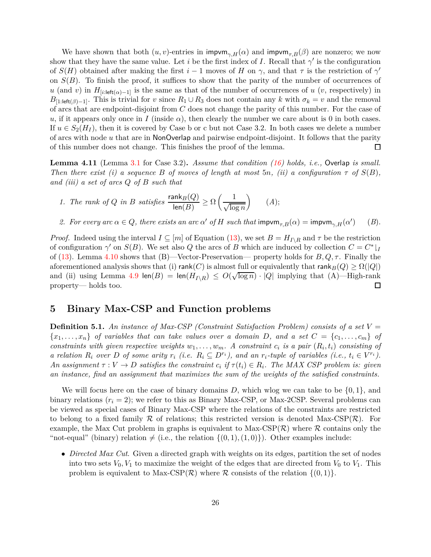We have shown that both  $(u, v)$ -entries in impvm<sub> $\gamma$ , $H(\alpha)$  and impvm<sub> $\tau$ , $B(\beta)$  are nonzero; we now</sub></sub> show that they have the same value. Let *i* be the first index of *I*. Recall that  $\gamma'$  is the configuration of  $S(H)$  obtained after making the first  $i-1$  moves of  $H$  on  $\gamma$ , and that  $\tau$  is the restriction of  $\gamma'$ on  $S(B)$ . To finish the proof, it suffices to show that the parity of the number of occurrences of *u* (and *v*) in  $H_{[i:\text{left}(\alpha)-1]}$  is the same as that of the number of occurrences of *u* (*v*, respectively) in *B*<sub>[1:left(*β*)−1]. This is trivial for *v* since  $R_1 \cup R_3$  does not contain any *k* with  $\sigma_k = v$  and the removal</sub> of arcs that are endpoint-disjoint from *C* does not change the parity of this number. For the case of *u*, if it appears only once in *I* (inside  $\alpha$ ), then clearly the number we care about is 0 in both cases. If  $u \in S_2(H_I)$ , then it is covered by Case b or c but not Case 3.2. In both cases we delete a number of arcs with node *u* that are in NonOverlap and pairwise endpoint-disjoint. It follows that the parity of this number does not change. This finishes the proof of the lemma.  $\Box$ 

**Lemma 4.11** (Lemma [3.1](#page-10-0) for Case 3.2)**.** *Assume that condition [\(16\)](#page-22-1) holds, i.e.,* Overlap *is small. Then there exist (i) a sequence B of moves of length at most* 5*n*, *(ii) a configuration*  $\tau$  *of*  $S(B)$ , *and (iii) a set of arcs Q of B such that*

1. The rank of Q in B satisfies 
$$
\frac{\text{rank}_B(Q)}{\text{len}(B)} \ge \Omega\left(\frac{1}{\sqrt{\log n}}\right)
$$
 (A);

*2. For every arc*  $\alpha \in Q$ *, there exists an arc*  $\alpha'$  *of*  $H$  *such that*  $\text{impvm}_{\tau,B}(\alpha) = \text{impvm}_{\gamma,H}(\alpha')$  $(B)$ .

*Proof.* Indeed using the interval  $I \subseteq [m]$  of Equation [\(13\)](#page-19-2), we set  $B = H_{I \setminus R}$  and  $\tau$  be the restriction of configuration  $\gamma'$  on  $S(B)$ . We set also  $Q$  the arcs of  $B$  which are induced by collection  $C = C^*|_I$ of [\(13\)](#page-19-2). Lemma [4.10](#page-24-0) shows that (B)—Vector-Preservation— property holds for *B, Q, τ* . Finally the aforementioned analysis shows that (i) rank(*C*) is almost full or equivalently that rank $B(Q) \ge \Omega(|Q|)$ and (ii) using Lemma [4.9](#page-24-1)  $\text{len}(B) = \text{len}(H_{I\setminus R}) \leq O(\sqrt{\log n}) \cdot |Q|$  implying that (A)—High-rank property— holds too. 口

# <span id="page-25-0"></span>**5 Binary Max-CSP and Function problems**

**Definition 5.1.** *An instance of Max-CSP (Constraint Satisfaction Problem) consists of a set V* =  ${x_1, \ldots, x_n}$  *of variables that can take values over a domain D, and a set*  $C = {c_1, \ldots, c_m}$  *of constraints* with given respective weights  $w_1, \ldots, w_m$ . A constraint  $c_i$  is a pair  $(R_i, t_i)$  consisting of a relation  $R_i$  over D of some arity  $r_i$  (i.e.  $R_i \subseteq D^{r_i}$ ), and an  $r_i$ -tuple of variables (i.e.,  $t_i \in V^{r_i}$ ). *An assignment*  $\tau: V \to D$  *satisfies the constraint*  $c_i$  *if*  $\tau(t_i) \in R_i$ . The MAX CSP problem is: given *an instance, find an assignment that maximizes the sum of the weights of the satisfied constraints.*

We will focus here on the case of binary domains *D*, which wlog we can take to be {0*,* 1}, and binary relations  $(r_i = 2)$ ; we refer to this as Binary Max-CSP, or Max-2CSP. Several problems can be viewed as special cases of Binary Max-CSP where the relations of the constraints are restricted to belong to a fixed family R of relations; this restricted version is denoted Max-CSP(R). For example, the Max Cut problem in graphs is equivalent to Max-CSP $(\mathcal{R})$  where  $\mathcal R$  contains only the "not-equal" (binary) relation  $\neq$  (i.e., the relation  $\{(0,1),(1,0)\}\)$ . Other examples include:

• *Directed Max Cut*. Given a directed graph with weights on its edges, partition the set of nodes into two sets  $V_0$ ,  $V_1$  to maximize the weight of the edges that are directed from  $V_0$  to  $V_1$ . This problem is equivalent to Max-CSP( $\mathcal{R}$ ) where  $\mathcal R$  consists of the relation  $\{(0,1)\}.$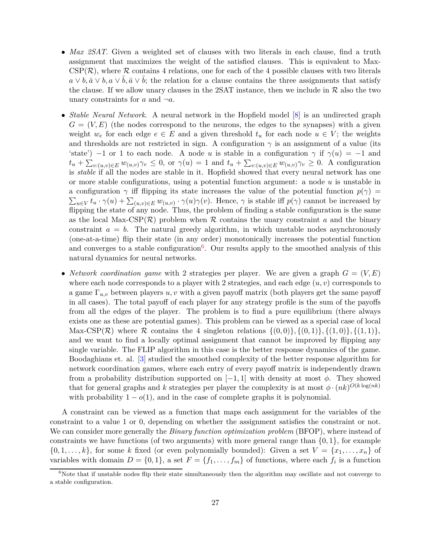- *Max 2SAT*. Given a weighted set of clauses with two literals in each clause, find a truth assignment that maximizes the weight of the satisfied clauses. This is equivalent to Max- $CSP(\mathcal{R})$ , where  $\mathcal R$  contains 4 relations, one for each of the 4 possible clauses with two literals  $a \vee b, \bar{a} \vee b, a \vee \bar{b}, \bar{a} \vee \bar{b}$ ; the relation for a clause contains the three assignments that satisfy the clause. If we allow unary clauses in the 2SAT instance, then we include in  $\mathcal R$  also the two unary constraints for  $a$  and  $\neg a$ .
- *Stable Neural Network*. A neural network in the Hopfield model [\[8\]](#page-32-3) is an undirected graph  $G = (V, E)$  (the nodes correspond to the neurons, the edges to the synapses) with a given weight  $w_e$  for each edge  $e \in E$  and a given threshold  $t_u$  for each node  $u \in V$ ; the weights and thresholds are not restricted in sign. A configuration  $\gamma$  is an assignment of a value (its 'state')  $-1$  or 1 to each node. A node *u* is stable in a configuration  $\gamma$  if  $\gamma(u) = -1$  and  $t_u + \sum_{v:(u,v)\in E} w_{(u,v)} \gamma_v \leq 0$ , or  $\gamma(u) = 1$  and  $t_u + \sum_{v:(u,v)\in E} w_{(u,v)} \gamma_v \geq 0$ . A configuration is *stable* if all the nodes are stable in it. Hopfield showed that every neural network has one or more stable configurations, using a potential function argument: a node *u* is unstable in a configuration  $\gamma$  iff flipping its state increases the value of the potential function  $p(\gamma)$  =  $\sum_{u \in V} t_u \cdot \gamma(u) + \sum_{(u,v) \in E} w_{(u,v)} \cdot \gamma(u) \gamma(v)$ . Hence,  $\gamma$  is stable iff  $p(\gamma)$  cannot be increased by flipping the state of any node. Thus, the problem of finding a stable configuration is the same as the local Max-CSP( $\mathcal{R}$ ) problem when  $\mathcal R$  contains the unary constraint *a* and the binary constraint  $a = b$ . The natural greedy algorithm, in which unstable nodes asynchronously (one-at-a-time) flip their state (in any order) monotonically increases the potential function and converges to a stable configuration<sup>[6](#page-26-0)</sup>. Our results apply to the smoothed analysis of this natural dynamics for neural networks.
- *Network coordination game* with 2 strategies per player. We are given a graph  $G = (V, E)$ where each node corresponds to a player with 2 strategies, and each edge  $(u, v)$  corresponds to a game Γ*u,v* between players *u, v* with a given payoff matrix (both players get the same payoff in all cases). The total payoff of each player for any strategy profile is the sum of the payoffs from all the edges of the player. The problem is to find a pure equilibrium (there always exists one as these are potential games). This problem can be viewed as a special case of local Max-CSP( $\mathcal{R}$ ) where  $\mathcal{R}$  contains the 4 singleton relations  $\{(0,0)\}, \{(0,1)\}, \{(1,0)\}, \{(1,1)\},$ and we want to find a locally optimal assignment that cannot be improved by flipping any single variable. The FLIP algorithm in this case is the better response dynamics of the game. Boodaghians et. al. [\[3\]](#page-31-5) studied the smoothed complexity of the better response algorithm for network coordination games, where each entry of every payoff matrix is independently drawn from a probability distribution supported on  $[-1, 1]$  with density at most  $\phi$ . They showed that for general graphs and *k* strategies per player the complexity is at most  $\phi \cdot (nk)^{O(k \log(nk))}$ with probability  $1 - o(1)$ , and in the case of complete graphs it is polynomial.

A constraint can be viewed as a function that maps each assignment for the variables of the constraint to a value 1 or 0, depending on whether the assignment satisfies the constraint or not. We can consider more generally the *Binary function optimization problem* (BFOP), where instead of constraints we have functions (of two arguments) with more general range than {0*,* 1}, for example  $\{0, 1, \ldots, k\}$ , for some *k* fixed (or even polynomially bounded): Given a set  $V = \{x_1, \ldots, x_n\}$  of variables with domain  $D = \{0, 1\}$ , a set  $F = \{f_1, \ldots, f_m\}$  of functions, where each  $f_i$  is a function

<span id="page-26-0"></span> $6$ Note that if unstable nodes flip their state simultaneously then the algorithm may oscillate and not converge to a stable configuration.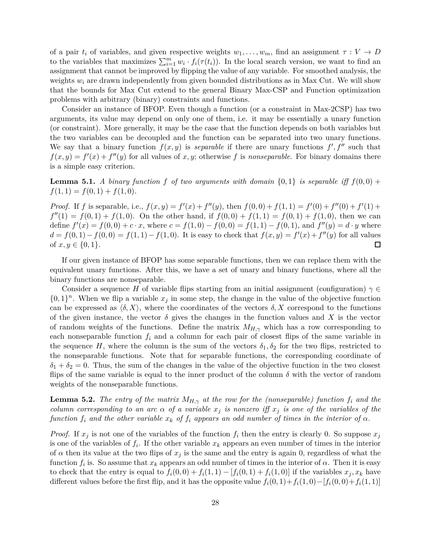of a pair  $t_i$  of variables, and given respective weights  $w_1, \ldots, w_m$ , find an assignment  $\tau : V \to D$ to the variables that maximizes  $\sum_{i=1}^{m} w_i \cdot f_i(\tau(t_i))$ . In the local search version, we want to find an assignment that cannot be improved by flipping the value of any variable. For smoothed analysis, the weights  $w_i$  are drawn independently from given bounded distributions as in Max Cut. We will show that the bounds for Max Cut extend to the general Binary Max-CSP and Function optimization problems with arbitrary (binary) constraints and functions.

Consider an instance of BFOP. Even though a function (or a constraint in Max-2CSP) has two arguments, its value may depend on only one of them, i.e. it may be essentially a unary function (or constraint). More generally, it may be the case that the function depends on both variables but the two variables can be decoupled and the function can be separated into two unary functions. We say that a binary function  $f(x, y)$  is *separable* if there are unary functions  $f', f''$  such that  $f(x, y) = f'(x) + f''(y)$  for all values of x, y; otherwise f is *nonseparable*. For binary domains there is a simple easy criterion.

**Lemma 5.1.** *A binary function f of two arguments with domain*  $\{0,1\}$  *is separable iff*  $f(0,0)$  +  $f(1, 1) = f(0, 1) + f(1, 0).$ 

*Proof.* If *f* is separable, i.e.,  $f(x,y) = f'(x) + f''(y)$ , then  $f(0,0) + f(1,1) = f'(0) + f''(0) + f'(1) + f'(0)$  $f''(1) = f(0,1) + f(1,0)$ . On the other hand, if  $f(0,0) + f(1,1) = f(0,1) + f(1,0)$ , then we can define  $f'(x) = f(0,0) + c \cdot x$ , where  $c = f(1,0) - f(0,0) = f(1,1) - f(0,1)$ , and  $f''(y) = d \cdot y$  where  $d = f(0, 1) - f(0, 0) = f(1, 1) - f(1, 0)$ . It is easy to check that  $f(x, y) = f'(x) + f''(y)$  for all values of  $x, y \in \{0, 1\}.$ □

If our given instance of BFOP has some separable functions, then we can replace them with the equivalent unary functions. After this, we have a set of unary and binary functions, where all the binary functions are nonseparable.

Consider a sequence *H* of variable flips starting from an initial assignment (configuration)  $\gamma \in$  $\{0,1\}^n$ . When we flip a variable  $x_j$  in some step, the change in the value of the objective function can be expressed as  $\langle \delta, X \rangle$ , where the coordinates of the vectors  $\delta, X$  correspond to the functions of the given instance, the vector  $\delta$  gives the changes in the function values and X is the vector of random weights of the functions. Define the matrix  $M_{H,\gamma}$  which has a row corresponding to each nonseparable function  $f_i$  and a column for each pair of closest flips of the same variable in the sequence *H*, where the column is the sum of the vectors  $\delta_1, \delta_2$  for the two flips, restricted to the nonseparable functions. Note that for separable functions, the corresponding coordinate of  $\delta_1 + \delta_2 = 0$ . Thus, the sum of the changes in the value of the objective function in the two closest flips of the same variable is equal to the inner product of the column  $\delta$  with the vector of random weights of the nonseparable functions.

**Lemma 5.2.** *The entry of the matrix*  $M_{H,\gamma}$  *at the row for the (nonseparable) function*  $f_i$  *and the column corresponding to an arc*  $\alpha$  *of a variable*  $x_j$  *is nonzero iff*  $x_j$  *is one of the variables of the function*  $f_i$  *and the other variable*  $x_k$  *of*  $f_i$  *appears an odd number of times in the interior of*  $\alpha$ *.* 

*Proof.* If  $x_j$  is not one of the variables of the function  $f_i$  then the entry is clearly 0. So suppose  $x_j$ is one of the variables of *f<sup>i</sup>* . If the other variable *x<sup>k</sup>* appears an even number of times in the interior of  $\alpha$  then its value at the two flips of  $x_j$  is the same and the entry is again 0, regardless of what the function  $f_i$  is. So assume that  $x_k$  appears an odd number of times in the interior of  $\alpha$ . Then it is easy to check that the entry is equal to  $f_i(0,0) + f_i(1,1) - [f_i(0,1) + f_i(1,0)]$  if the variables  $x_i, x_k$  have different values before the first flip, and it has the opposite value  $f_i(0,1) + f_i(1,0) - [f_i(0,0) + f_i(1,1)]$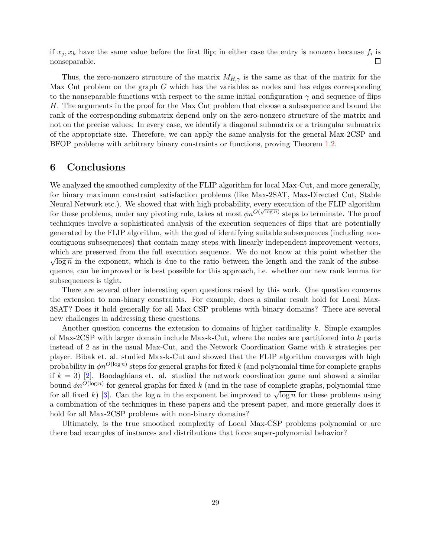if  $x_j, x_k$  have the same value before the first flip; in either case the entry is nonzero because  $f_i$  is nonseparable.  $\Box$ 

Thus, the zero-nonzero structure of the matrix  $M_{H,\gamma}$  is the same as that of the matrix for the Max Cut problem on the graph *G* which has the variables as nodes and has edges corresponding to the nonseparable functions with respect to the same initial configuration  $\gamma$  and sequence of flips *H*. The arguments in the proof for the Max Cut problem that choose a subsequence and bound the rank of the corresponding submatrix depend only on the zero-nonzero structure of the matrix and not on the precise values: In every case, we identify a diagonal submatrix or a triangular submatrix of the appropriate size. Therefore, we can apply the same analysis for the general Max-2CSP and BFOP problems with arbitrary binary constraints or functions, proving Theorem [1.2.](#page-2-1)

## <span id="page-28-0"></span>**6 Conclusions**

We analyzed the smoothed complexity of the FLIP algorithm for local Max-Cut, and more generally, for binary maximum constraint satisfaction problems (like Max-2SAT, Max-Directed Cut, Stable Neural Network etc.). We showed that with high probability, every execution of the FLIP algorithm for these problems, under any pivoting rule, takes at most  $\phi n^{O(\sqrt{\log n})}$  steps to terminate. The proof techniques involve a sophisticated analysis of the execution sequences of flips that are potentially generated by the FLIP algorithm, with the goal of identifying suitable subsequences (including noncontiguous subsequences) that contain many steps with linearly independent improvement vectors, which are preserved from the full execution sequence. We do not know at this point whether the  $\sqrt{\log n}$  in the exponent, which is due to the ratio between the length and the rank of the subsequence, can be improved or is best possible for this approach, i.e. whether our new rank lemma for subsequences is tight.

There are several other interesting open questions raised by this work. One question concerns the extension to non-binary constraints. For example, does a similar result hold for Local Max-3SAT? Does it hold generally for all Max-CSP problems with binary domains? There are several new challenges in addressing these questions.

Another question concerns the extension to domains of higher cardinality *k*. Simple examples of Max-2CSP with larger domain include Max-k-Cut, where the nodes are partitioned into *k* parts instead of 2 as in the usual Max-Cut, and the Network Coordination Game with *k* strategies per player. Bibak et. al. studied Max-k-Cut and showed that the FLIP algorithm converges with high probability in  $\phi n^{O(\log n)}$  steps for general graphs for fixed  $k$  (and polynomial time for complete graphs if  $k = 3$  [\[2\]](#page-31-4). Boodaghians et. al. studied the network coordination game and showed a similar bound  $\phi n^{O(\log n)}$  for general graphs for fixed *k* (and in the case of complete graphs, polynomial time for all fixed *k*) [\[3\]](#page-31-5). Can the log *n* in the exponent be improved to  $\sqrt{\log n}$  for these problems using a combination of the techniques in these papers and the present paper, and more generally does it hold for all Max-2CSP problems with non-binary domains?

Ultimately, is the true smoothed complexity of Local Max-CSP problems polynomial or are there bad examples of instances and distributions that force super-polynomial behavior?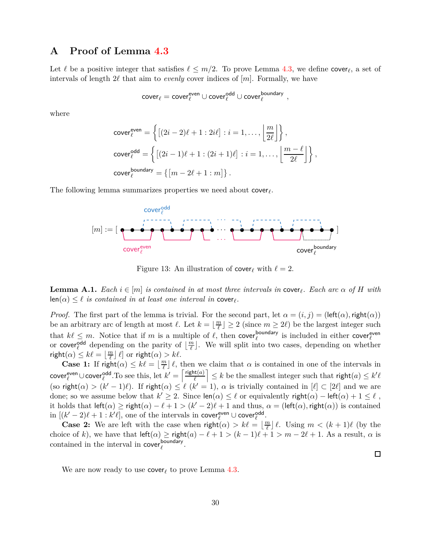# <span id="page-29-0"></span>**A Proof of Lemma [4.3](#page-13-2)**

Let  $\ell$  be a positive integer that satisfies  $\ell \leq m/2$ . To prove Lemma [4.3,](#page-13-2) we define cover<sub> $\ell$ </sub>, a set of intervals of length 2*ℓ* that aim to *evenly* cover indices of [*m*]. Formally, we have

$$
\mathsf{cover}_\ell = \mathsf{cover}^{\mathsf{even}}_\ell \cup \mathsf{cover}^{\mathsf{odd}}_\ell \cup \mathsf{cover}^{\mathsf{boundary}}_\ell \;,
$$

where

$$
cover_{\ell}^{even} = \left\{ \left[ (2i - 2)\ell + 1 : 2i\ell \right] : i = 1, ..., \left\lfloor \frac{m}{2\ell} \right\rfloor \right\},\
$$

$$
cover_{\ell}^{odd} = \left\{ \left[ (2i - 1)\ell + 1 : (2i + 1)\ell \right] : i = 1, ..., \left\lfloor \frac{m - \ell}{2\ell} \right\rfloor \right\},\
$$

$$
cover_{\ell}^{boundary} = \left\{ \left[ m - 2\ell + 1 : m \right] \right\}.
$$

The following lemma summarizes properties we need about cover*<sup>ℓ</sup>* .



Figure 13: An illustration of cover<sub> $\ell$ </sub> with  $\ell = 2$ .

<span id="page-29-1"></span>**Lemma A.1.** *Each*  $i \in [m]$  *is contained in at most three intervals in* cover<sub> $\ell$ </sub>. *Each arc*  $\alpha$  *of H with*  $\textsf{len}(\alpha) \leq \ell \, \textit{is contained in at least one interval in } \textsf{cover}_{\ell}.$ 

*Proof.* The first part of the lemma is trivial. For the second part, let  $\alpha = (i, j) = (\text{left}(\alpha)$ , right $(\alpha)$ ) be an arbitrary arc of length at most  $\ell$ . Let  $k = \lfloor \frac{m}{\ell} \rfloor$  $\left\lfloor \frac{n}{\ell} \right\rfloor \geq 2$  (since  $m \geq 2\ell$ ) be the largest integer such that  $k\ell \leq m$ . Notice that if *m* is a multiple of  $\ell$ , then cover boundary *v* is included in either cover  $\ell^{\text{even}}$ or cover<sup>odd</sup> depending on the parity of  $\lfloor \frac{m}{\ell} \rfloor$ . We will split into two cases, depending on whether  $\mathsf{right}(\alpha) \leq k\ell = \lfloor \frac{m}{\ell} \rfloor \ell \text{ or } \mathsf{right}(\alpha) > k\ell.$ 

**Case 1:** If  $\text{right}(\alpha) \leq k\ell = \lfloor \frac{m}{\ell} \rfloor \ell$ , then we claim that  $\alpha$  is contained in one of the intervals in  $\mathsf{cover}_{\ell}^{\mathsf{even}} \cup \mathsf{cover}_{\ell}^{\mathsf{odd}}.\mathrm{To see this, let } k' = \left\lceil \frac{\mathsf{right}(a)}{\ell} \right\rceil$ *ℓ*  $\left| \leq k \text{ be the smallest integer such that } \mathsf{right}(a) \leq k' \ell$ (so right( $\alpha$ ) > ( $k' - 1$ ) $\ell$ ). If right( $\alpha$ )  $\leq \ell$  ( $k' = 1$ ),  $\alpha$  is trivially contained in [ $\ell$ ]  $\subset$  [2 $\ell$ ] and we are done; so we assume below that  $k' \geq 2$ . Since  $\text{len}(\alpha) \leq \ell$  or equivalently  $\text{right}(\alpha) - \text{left}(\alpha) + 1 \leq \ell$ , it holds that  $\text{left}(\alpha) \geq \text{right}(\alpha) - \ell + 1 > (k' - 2)\ell + 1$  and thus,  $\alpha = (\text{left}(\alpha), \text{right}(\alpha))$  is contained in  $[(k'-2)\ell+1:k'\ell]$ , one of the intervals in cover<sup>even</sup>  $\cup$  cover<sup>odd</sup>.

**Case 2:** We are left with the case when  $\text{right}(\alpha) > k\ell = \left\lfloor \frac{m}{\ell} \right\rfloor \ell$ . Using  $m < (k+1)\ell$  (by the choice of *k*), we have that  $\text{left}(a) \geq \text{right}(a) - \ell + 1 > (k-1)\ell + 1 > m - 2\ell + 1$ . As a result,  $\alpha$  is contained in the interval in cover $_{\ell}^{\text{boundary}}$ *ℓ* .

□

We are now ready to use cover*<sup>ℓ</sup>* to prove Lemma [4.3.](#page-13-2)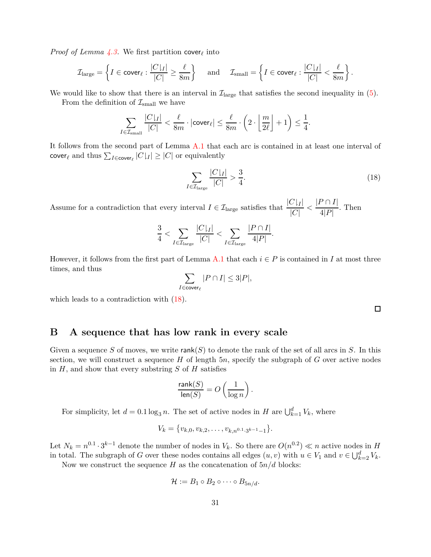*Proof of Lemma [4.3.](#page-13-2)* We first partition cover<sub>ℓ</sub> into

$$
\mathcal{I}_{\text{large}} = \left\{ I \in \text{cover}_{\ell} : \frac{|C|_I|}{|C|} \ge \frac{\ell}{8m} \right\} \quad \text{and} \quad \mathcal{I}_{\text{small}} = \left\{ I \in \text{cover}_{\ell} : \frac{|C|_I|}{|C|} < \frac{\ell}{8m} \right\}.
$$

We would like to show that there is an interval in  $\mathcal{I}_{\text{large}}$  that satisfies the second inequality in [\(5\)](#page-13-3).

From the definition of  $\mathcal{I}_{\text{small}}$  we have

$$
\sum_{I \in \mathcal{I}_{\text{small}}} \frac{|C|_I|}{|C|} < \frac{\ell}{8m} \cdot |\text{cover}_{\ell}| \le \frac{\ell}{8m} \cdot \left(2 \cdot \left\lfloor \frac{m}{2\ell} \right\rfloor + 1\right) \le \frac{1}{4}.
$$

It follows from the second part of Lemma [A.1](#page-29-1) that each arc is contained in at least one interval of cover<sub> $\ell$ </sub> and thus  $\sum_{I \in \mathsf{cover}_{\ell}} |C|I| \geq |C|$  or equivalently

<span id="page-30-1"></span>
$$
\sum_{I \in \mathcal{I}_{\text{large}}} \frac{|C|_I|}{|C|} > \frac{3}{4}.\tag{18}
$$

Assume for a contradiction that every interval  $I \in \mathcal{I}_{\text{large}}$  satisfies that  $\frac{|C|_I|}{|C|} < \frac{|P \cap I|}{4|P|}$  $\frac{1}{4|P|}$ . Then

$$
\frac{3}{4} < \sum_{I \in \mathcal{I}_{\text{large}}} \frac{|C|_I|}{|C|} < \sum_{I \in \mathcal{I}_{\text{large}}} \frac{|P \cap I|}{4|P|}.
$$

However, it follows from the first part of Lemma [A.1](#page-29-1) that each  $i \in P$  is contained in *I* at most three times, and thus

$$
\sum_{I \in \text{cover}_{\ell}} |P \cap I| \le 3|P|,
$$

which leads to a contradiction with [\(18\)](#page-30-1).

 $\Box$ 

# <span id="page-30-0"></span>**B A sequence that has low rank in every scale**

Given a sequence *S* of moves, we write  $rank(S)$  to denote the rank of the set of all arcs in *S*. In this section, we will construct a sequence *H* of length 5*n*, specify the subgraph of *G* over active nodes in *H*, and show that every substring *S* of *H* satisfies

$$
\frac{\operatorname{rank}(S)}{\operatorname{len}(S)} = O\left(\frac{1}{\log n}\right).
$$

For simplicity, let  $d = 0.1 \log_3 n$ . The set of active nodes in *H* are  $\bigcup_{k=1}^d V_k$ , where

$$
V_k = \{v_{k,0}, v_{k,2}, \ldots, v_{k,n^{0.1} \cdot 3^{k-1}-1}\}.
$$

Let  $N_k = n^{0.1} \cdot 3^{k-1}$  denote the number of nodes in  $V_k$ . So there are  $O(n^{0.2}) \ll n$  active nodes in *H* in total. The subgraph of *G* over these nodes contains all edges  $(u, v)$  with  $u \in V_1$  and  $v \in \bigcup_{k=2}^d V_k$ .

Now we construct the sequence *H* as the concatenation of  $5n/d$  blocks:

$$
\mathcal{H} := B_1 \circ B_2 \circ \cdots \circ B_{5n/d}.
$$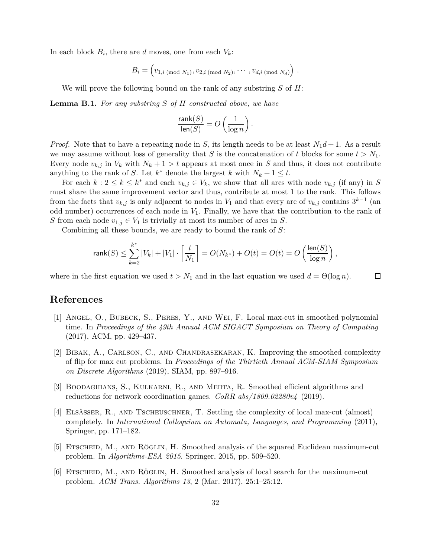In each block  $B_i$ , there are *d* moves, one from each  $V_k$ :

$$
B_i = (v_{1,i \pmod{N_1}}, v_{2,i \pmod{N_2}}, \cdots, v_{d,i \pmod{N_d}}).
$$

We will prove the following bound on the rank of any substring *S* of *H*:

**Lemma B.1.** *For any substring S of H constructed above, we have*

$$
\frac{\operatorname{rank}(S)}{\operatorname{len}(S)} = O\left(\frac{1}{\log n}\right).
$$

*Proof.* Note that to have a repeating node in *S*, its length needs to be at least  $N_1d + 1$ . As a result we may assume without loss of generality that *S* is the concatenation of *t* blocks for some  $t > N_1$ . Every node  $v_{k,j}$  in  $V_k$  with  $N_k + 1 > t$  appears at most once in *S* and thus, it does not contribute anything to the rank of *S*. Let  $k^*$  denote the largest  $k$  with  $N_k + 1 \leq t$ .

For each  $k: 2 \leq k \leq k^*$  and each  $v_{k,j} \in V_k$ , we show that all arcs with node  $v_{k,j}$  (if any) in *S* must share the same improvement vector and thus, contribute at most 1 to the rank. This follows from the facts that  $v_{k,j}$  is only adjacent to nodes in  $V_1$  and that every arc of  $v_{k,j}$  contains  $3^{k-1}$  (an odd number) occurrences of each node in *V*1. Finally, we have that the contribution to the rank of *S* from each node  $v_{1,j} \in V_1$  is trivially at most its number of arcs in *S*.

Combining all these bounds, we are ready to bound the rank of *S*:

$$
\mathop{\rm rank}(S) \leq \sum_{k=2}^{k^*} |V_k| + |V_1| \cdot \left\lceil \frac{t}{N_1} \right\rceil = O(N_{k^*}) + O(t) = O(t) = O\left(\frac{\operatorname{len}(S)}{\log n}\right),
$$

where in the first equation we used  $t > N_1$  and in the last equation we used  $d = \Theta(\log n)$ . □

# <span id="page-31-3"></span>**References**

- [1] Angel, O., Bubeck, S., Peres, Y., and Wei, F. Local max-cut in smoothed polynomial time. In *Proceedings of the 49th Annual ACM SIGACT Symposium on Theory of Computing* (2017), ACM, pp. 429–437.
- <span id="page-31-4"></span>[2] Bibak, A., Carlson, C., and Chandrasekaran, K. Improving the smoothed complexity of flip for max cut problems. In *Proceedings of the Thirtieth Annual ACM-SIAM Symposium on Discrete Algorithms* (2019), SIAM, pp. 897–916.
- <span id="page-31-5"></span>[3] Boodaghians, S., Kulkarni, R., and Mehta, R. Smoothed efficient algorithms and reductions for network coordination games. *CoRR abs/1809.02280v4* (2019).
- <span id="page-31-1"></span>[4] Elsässer, R., and Tscheuschner, T. Settling the complexity of local max-cut (almost) completely. In *International Colloquium on Automata, Languages, and Programming* (2011), Springer, pp. 171–182.
- <span id="page-31-2"></span>[5] ETSCHEID, M., AND RÖGLIN, H. Smoothed analysis of the squared Euclidean maximum-cut problem. In *Algorithms-ESA 2015*. Springer, 2015, pp. 509–520.
- <span id="page-31-0"></span>[6] Etscheid, M., and Röglin, H. Smoothed analysis of local search for the maximum-cut problem. *ACM Trans. Algorithms 13*, 2 (Mar. 2017), 25:1–25:12.